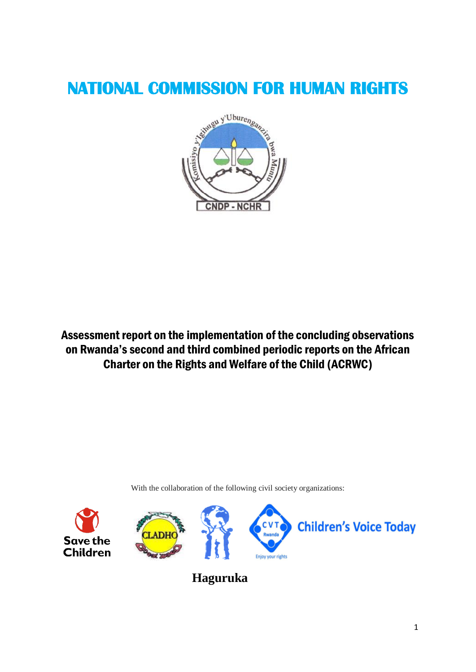# **NATIONAL COMMISSION FOR HUMAN RIGHTS**



Assessment report on the implementation of the concluding observations on Rwanda's second and third combined periodic reports on the African Charter on the Rights and Welfare of the Child (ACRWC)

With the collaboration of the following civil society organizations:



 **Haguruka**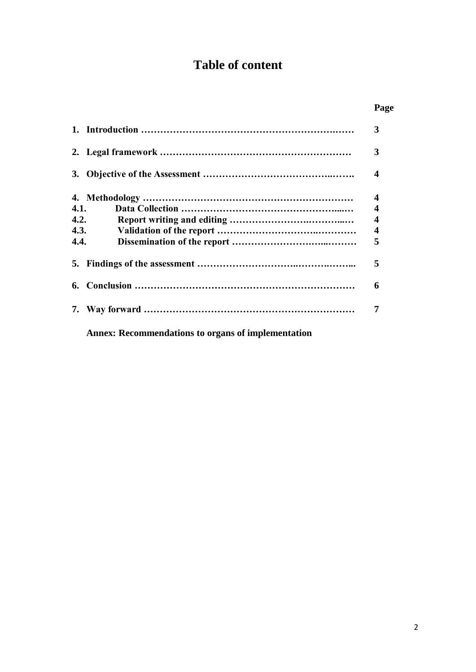# **Table of content**

|      |                                                           | Page                    |
|------|-----------------------------------------------------------|-------------------------|
|      |                                                           | 3                       |
|      |                                                           | 3                       |
|      |                                                           | $\boldsymbol{4}$        |
|      |                                                           | $\boldsymbol{4}$        |
| 4.1. |                                                           | $\boldsymbol{4}$        |
|      | 4.2.                                                      | $\overline{\mathbf{4}}$ |
|      | 4.3.                                                      | 4                       |
| 4.4. |                                                           | 5                       |
|      |                                                           | 5                       |
| 6.   |                                                           | 6                       |
|      |                                                           | 7                       |
|      | <b>Annex: Recommendations to organs of implementation</b> |                         |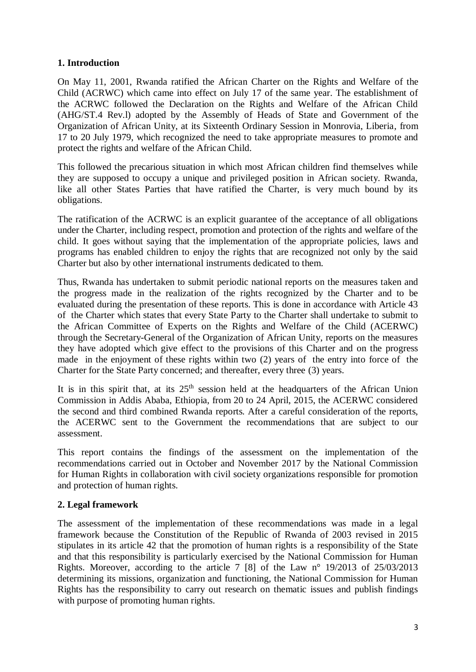# **1. Introduction**

On May 11, 2001, Rwanda ratified the African Charter on the Rights and Welfare of the Child (ACRWC) which came into effect on July 17 of the same year. The establishment of the ACRWC followed the Declaration on the Rights and Welfare of the African Child (AHG/ST.4 Rev.l) adopted by the Assembly of Heads of State and Government of the Organization of African Unity, at its Sixteenth Ordinary Session in Monrovia, Liberia, from 17 to 20 July 1979, which recognized the need to take appropriate measures to promote and protect the rights and welfare of the African Child.

This followed the precarious situation in which most African children find themselves while they are supposed to occupy a unique and privileged position in African society. Rwanda, like all other States Parties that have ratified the Charter, is very much bound by its obligations.

The ratification of the ACRWC is an explicit guarantee of the acceptance of all obligations under the Charter, including respect, promotion and protection of the rights and welfare of the child. It goes without saying that the implementation of the appropriate policies, laws and programs has enabled children to enjoy the rights that are recognized not only by the said Charter but also by other international instruments dedicated to them.

Thus, Rwanda has undertaken to submit periodic national reports on the measures taken and the progress made in the realization of the rights recognized by the Charter and to be evaluated during the presentation of these reports. This is done in accordance with Article 43 of the Charter which states that every State Party to the Charter shall undertake to submit to the African Committee of Experts on the Rights and Welfare of the Child (ACERWC) through the Secretary-General of the Organization of African Unity, reports on the measures they have adopted which give effect to the provisions of this Charter and on the progress made in the enjoyment of these rights within two (2) years of the entry into force of the Charter for the State Party concerned; and thereafter, every three (3) years.

It is in this spirit that, at its  $25<sup>th</sup>$  session held at the headquarters of the African Union Commission in Addis Ababa, Ethiopia, from 20 to 24 April, 2015, the ACERWC considered the second and third combined Rwanda reports. After a careful consideration of the reports, the ACERWC sent to the Government the recommendations that are subject to our assessment.

This report contains the findings of the assessment on the implementation of the recommendations carried out in October and November 2017 by the National Commission for Human Rights in collaboration with civil society organizations responsible for promotion and protection of human rights.

# **2. Legal framework**

The assessment of the implementation of these recommendations was made in a legal framework because the Constitution of the Republic of Rwanda of 2003 revised in 2015 stipulates in its article 42 that the promotion of human rights is a responsibility of the State and that this responsibility is particularly exercised by the National Commission for Human Rights. Moreover, according to the article 7 [8] of the Law n° 19/2013 of 25/03/2013 determining its missions, organization and functioning, the National Commission for Human Rights has the responsibility to carry out research on thematic issues and publish findings with purpose of promoting human rights.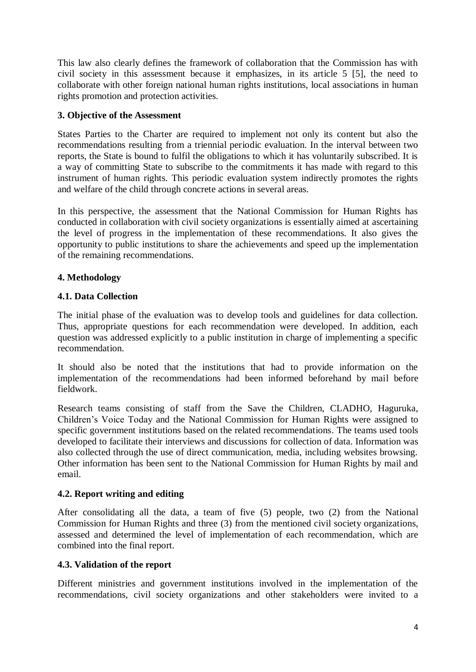This law also clearly defines the framework of collaboration that the Commission has with civil society in this assessment because it emphasizes, in its article 5 [5], the need to collaborate with other foreign national human rights institutions, local associations in human rights promotion and protection activities.

#### **3. Objective of the Assessment**

States Parties to the Charter are required to implement not only its content but also the recommendations resulting from a triennial periodic evaluation. In the interval between two reports, the State is bound to fulfil the obligations to which it has voluntarily subscribed. It is a way of committing State to subscribe to the commitments it has made with regard to this instrument of human rights. This periodic evaluation system indirectly promotes the rights and welfare of the child through concrete actions in several areas.

In this perspective, the assessment that the National Commission for Human Rights has conducted in collaboration with civil society organizations is essentially aimed at ascertaining the level of progress in the implementation of these recommendations. It also gives the opportunity to public institutions to share the achievements and speed up the implementation of the remaining recommendations.

# **4. Methodology**

# **4.1. Data Collection**

The initial phase of the evaluation was to develop tools and guidelines for data collection. Thus, appropriate questions for each recommendation were developed. In addition, each question was addressed explicitly to a public institution in charge of implementing a specific recommendation.

It should also be noted that the institutions that had to provide information on the implementation of the recommendations had been informed beforehand by mail before fieldwork.

Research teams consisting of staff from the Save the Children, CLADHO, Haguruka, Children's Voice Today and the National Commission for Human Rights were assigned to specific government institutions based on the related recommendations. The teams used tools developed to facilitate their interviews and discussions for collection of data. Information was also collected through the use of direct communication, media, including websites browsing. Other information has been sent to the National Commission for Human Rights by mail and email.

# **4.2. Report writing and editing**

After consolidating all the data, a team of five (5) people, two (2) from the National Commission for Human Rights and three (3) from the mentioned civil society organizations, assessed and determined the level of implementation of each recommendation, which are combined into the final report.

# **4.3. Validation of the report**

Different ministries and government institutions involved in the implementation of the recommendations, civil society organizations and other stakeholders were invited to a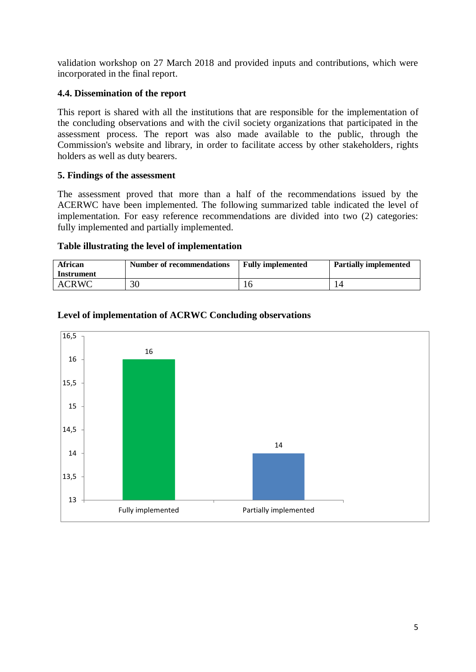validation workshop on 27 March 2018 and provided inputs and contributions, which were incorporated in the final report.

#### **4.4. Dissemination of the report**

This report is shared with all the institutions that are responsible for the implementation of the concluding observations and with the civil society organizations that participated in the assessment process. The report was also made available to the public, through the Commission's website and library, in order to facilitate access by other stakeholders, rights holders as well as duty bearers.

#### **5. Findings of the assessment**

The assessment proved that more than a half of the recommendations issued by the ACERWC have been implemented. The following summarized table indicated the level of implementation. For easy reference recommendations are divided into two (2) categories: fully implemented and partially implemented.

#### **Table illustrating the level of implementation**

| <b>African</b><br>Instrument | <b>Number of recommendations</b> | <b>Fully implemented</b> | <b>Partially implemented</b> |
|------------------------------|----------------------------------|--------------------------|------------------------------|
| <b>ACRWC</b>                 | 30                               |                          |                              |



#### **Level of implementation of ACRWC Concluding observations**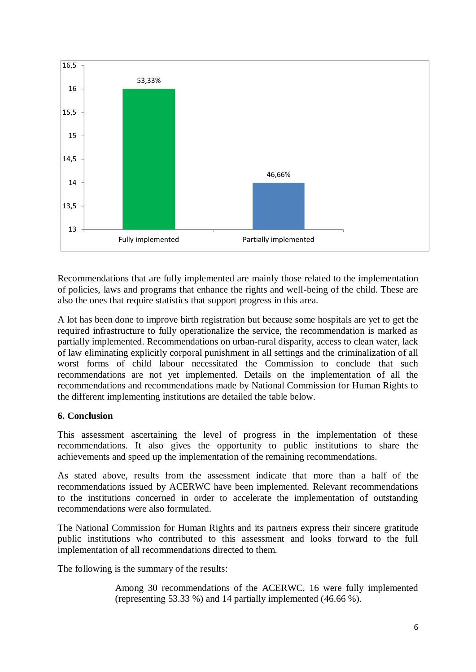

Recommendations that are fully implemented are mainly those related to the implementation of policies, laws and programs that enhance the rights and well-being of the child. These are also the ones that require statistics that support progress in this area.

A lot has been done to improve birth registration but because some hospitals are yet to get the required infrastructure to fully operationalize the service, the recommendation is marked as partially implemented. Recommendations on urban-rural disparity, access to clean water, lack of law eliminating explicitly corporal punishment in all settings and the criminalization of all worst forms of child labour necessitated the Commission to conclude that such recommendations are not yet implemented. Details on the implementation of all the recommendations and recommendations made by National Commission for Human Rights to the different implementing institutions are detailed the table below.

# **6. Conclusion**

This assessment ascertaining the level of progress in the implementation of these recommendations. It also gives the opportunity to public institutions to share the achievements and speed up the implementation of the remaining recommendations.

As stated above, results from the assessment indicate that more than a half of the recommendations issued by ACERWC have been implemented. Relevant recommendations to the institutions concerned in order to accelerate the implementation of outstanding recommendations were also formulated.

The National Commission for Human Rights and its partners express their sincere gratitude public institutions who contributed to this assessment and looks forward to the full implementation of all recommendations directed to them.

The following is the summary of the results:

Among 30 recommendations of the ACERWC, 16 were fully implemented (representing 53.33 %) and 14 partially implemented (46.66 %).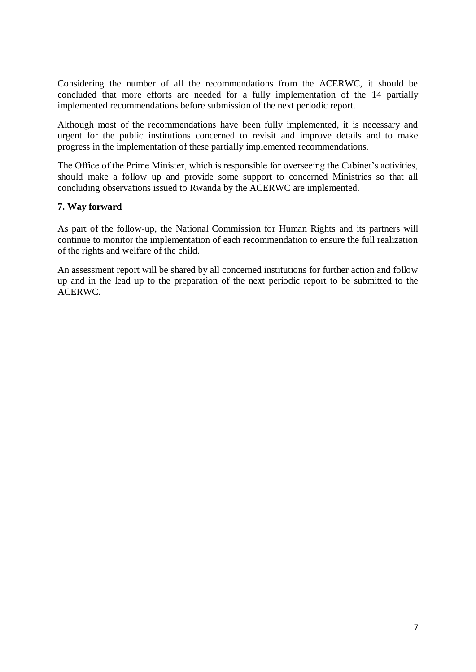Considering the number of all the recommendations from the ACERWC, it should be concluded that more efforts are needed for a fully implementation of the 14 partially implemented recommendations before submission of the next periodic report.

Although most of the recommendations have been fully implemented, it is necessary and urgent for the public institutions concerned to revisit and improve details and to make progress in the implementation of these partially implemented recommendations.

The Office of the Prime Minister, which is responsible for overseeing the Cabinet's activities, should make a follow up and provide some support to concerned Ministries so that all concluding observations issued to Rwanda by the ACERWC are implemented.

#### **7. Way forward**

As part of the follow-up, the National Commission for Human Rights and its partners will continue to monitor the implementation of each recommendation to ensure the full realization of the rights and welfare of the child.

An assessment report will be shared by all concerned institutions for further action and follow up and in the lead up to the preparation of the next periodic report to be submitted to the ACERWC.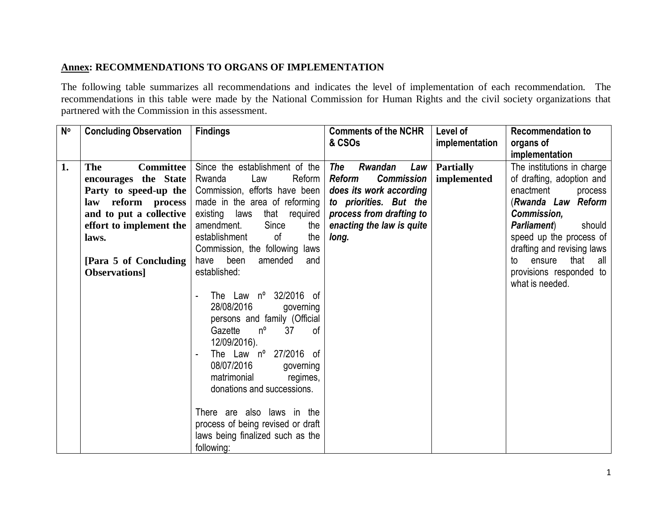# **Annex: RECOMMENDATIONS TO ORGANS OF IMPLEMENTATION**

The following table summarizes all recommendations and indicates the level of implementation of each recommendation. The recommendations in this table were made by the National Commission for Human Rights and the civil society organizations that partnered with the Commission in this assessment.

| $N^{\circ}$ | <b>Concluding Observation</b>                                                                                                                                                                                   | <b>Findings</b>                                                                                                                                                                                                                                                                                                                                                                                                                                      | <b>Comments of the NCHR</b><br>& CSOs                                                                                                                                       | Level of<br>implementation      | <b>Recommendation to</b><br>organs of                                                                                                                                                                                                                                                    |
|-------------|-----------------------------------------------------------------------------------------------------------------------------------------------------------------------------------------------------------------|------------------------------------------------------------------------------------------------------------------------------------------------------------------------------------------------------------------------------------------------------------------------------------------------------------------------------------------------------------------------------------------------------------------------------------------------------|-----------------------------------------------------------------------------------------------------------------------------------------------------------------------------|---------------------------------|------------------------------------------------------------------------------------------------------------------------------------------------------------------------------------------------------------------------------------------------------------------------------------------|
|             |                                                                                                                                                                                                                 |                                                                                                                                                                                                                                                                                                                                                                                                                                                      |                                                                                                                                                                             |                                 | implementation                                                                                                                                                                                                                                                                           |
| 1.          | <b>The</b><br><b>Committee</b><br>encourages the State<br>Party to speed-up the<br>law reform process<br>and to put a collective<br>effort to implement the<br>laws.<br>[Para 5 of Concluding]<br>Observations] | Since the establishment of the<br>Reform<br>Rwanda<br>Law<br>Commission, efforts have been<br>made in the area of reforming<br>existing laws<br>that required<br>amendment.<br>Since<br>the<br>establishment<br>of<br>the<br>Commission, the following laws<br>amended<br>have been<br>and<br>established:<br>The Law nº 32/2016 of<br>28/08/2016<br>governing<br>persons and family (Official<br>Gazette<br>$n^{\circ}$<br>37<br>0f<br>12/09/2016). | The<br>Rwandan<br>Law<br>Reform<br><b>Commission</b><br>does its work according<br>to priorities. But the<br>process from drafting to<br>enacting the law is quite<br>long. | <b>Partially</b><br>implemented | The institutions in charge<br>of drafting, adoption and<br>enactment<br>process<br>(Rwanda Law Reform<br>Commission,<br><b>Parliament</b> )<br>should<br>speed up the process of<br>drafting and revising laws<br>ensure<br>that all<br>to<br>provisions responded to<br>what is needed. |
|             |                                                                                                                                                                                                                 | The Law $n^{\circ}$ 27/2016 of<br>08/07/2016<br>governing<br>matrimonial<br>regimes,<br>donations and successions.<br>There are also laws in the<br>process of being revised or draft<br>laws being finalized such as the<br>following:                                                                                                                                                                                                              |                                                                                                                                                                             |                                 |                                                                                                                                                                                                                                                                                          |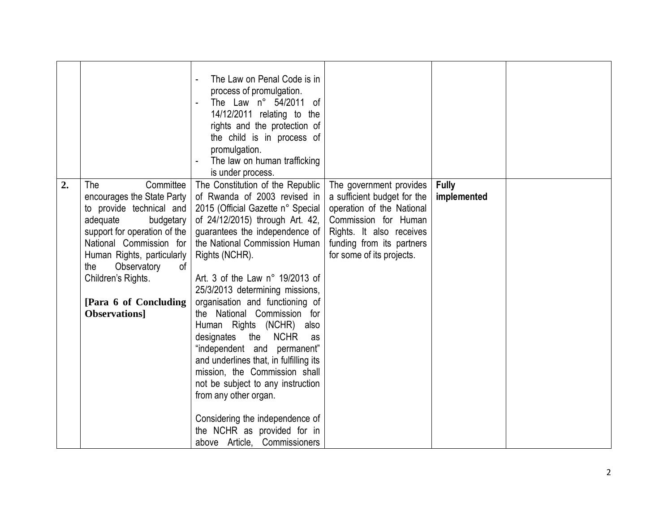|    |                                                | The Law on Penal Code is in                                           |                                                        |                             |  |
|----|------------------------------------------------|-----------------------------------------------------------------------|--------------------------------------------------------|-----------------------------|--|
|    |                                                | process of promulgation.<br>The Law n° 54/2011 of                     |                                                        |                             |  |
|    |                                                | 14/12/2011 relating to the                                            |                                                        |                             |  |
|    |                                                | rights and the protection of                                          |                                                        |                             |  |
|    |                                                | the child is in process of                                            |                                                        |                             |  |
|    |                                                | promulgation.                                                         |                                                        |                             |  |
|    |                                                | The law on human trafficking                                          |                                                        |                             |  |
|    |                                                | is under process.                                                     |                                                        |                             |  |
| 2. | The<br>Committee<br>encourages the State Party | The Constitution of the Republic<br>of Rwanda of 2003 revised in      | The government provides<br>a sufficient budget for the | <b>Fully</b><br>implemented |  |
|    | to provide technical and                       | 2015 (Official Gazette n° Special                                     | operation of the National                              |                             |  |
|    | adequate<br>budgetary                          | of 24/12/2015) through Art. 42,                                       | Commission for Human                                   |                             |  |
|    | support for operation of the                   | guarantees the independence of                                        | Rights. It also receives                               |                             |  |
|    | National Commission for                        | the National Commission Human                                         | funding from its partners                              |                             |  |
|    | Human Rights, particularly                     | Rights (NCHR).                                                        | for some of its projects.                              |                             |  |
|    | Observatory<br>the<br>0f<br>Children's Rights. | Art. 3 of the Law $n^{\circ}$ 19/2013 of                              |                                                        |                             |  |
|    |                                                | 25/3/2013 determining missions,                                       |                                                        |                             |  |
|    | [Para 6 of Concluding]                         | organisation and functioning of                                       |                                                        |                             |  |
|    | Observations]                                  | the National Commission for                                           |                                                        |                             |  |
|    |                                                | Human Rights (NCHR) also                                              |                                                        |                             |  |
|    |                                                | designates<br>the NCHR<br>as                                          |                                                        |                             |  |
|    |                                                | "independent and permanent"<br>and underlines that, in fulfilling its |                                                        |                             |  |
|    |                                                | mission, the Commission shall                                         |                                                        |                             |  |
|    |                                                | not be subject to any instruction                                     |                                                        |                             |  |
|    |                                                | from any other organ.                                                 |                                                        |                             |  |
|    |                                                | Considering the independence of                                       |                                                        |                             |  |
|    |                                                | the NCHR as provided for in                                           |                                                        |                             |  |
|    |                                                | above Article, Commissioners                                          |                                                        |                             |  |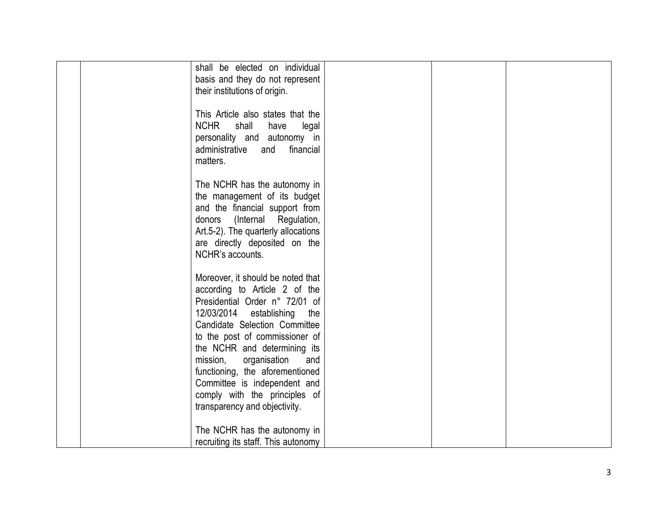| shall be elected on individual<br>basis and they do not represent<br>their institutions of origin.                                                                                                                                                                                                                                                                                                                |  |
|-------------------------------------------------------------------------------------------------------------------------------------------------------------------------------------------------------------------------------------------------------------------------------------------------------------------------------------------------------------------------------------------------------------------|--|
| This Article also states that the<br><b>NCHR</b><br>shall<br>legal<br>have<br>personality and autonomy in<br>administrative<br>and<br>financial<br>matters.                                                                                                                                                                                                                                                       |  |
| The NCHR has the autonomy in<br>the management of its budget<br>and the financial support from<br>donors (Internal Regulation,<br>Art.5-2). The quarterly allocations<br>are directly deposited on the<br>NCHR's accounts.                                                                                                                                                                                        |  |
| Moreover, it should be noted that<br>according to Article 2 of the<br>Presidential Order n° 72/01 of<br>12/03/2014 establishing<br>the<br>Candidate Selection Committee<br>to the post of commissioner of<br>the NCHR and determining its<br>mission,<br>organisation<br>and<br>functioning, the aforementioned<br>Committee is independent and<br>comply with the principles of<br>transparency and objectivity. |  |
| The NCHR has the autonomy in<br>recruiting its staff. This autonomy                                                                                                                                                                                                                                                                                                                                               |  |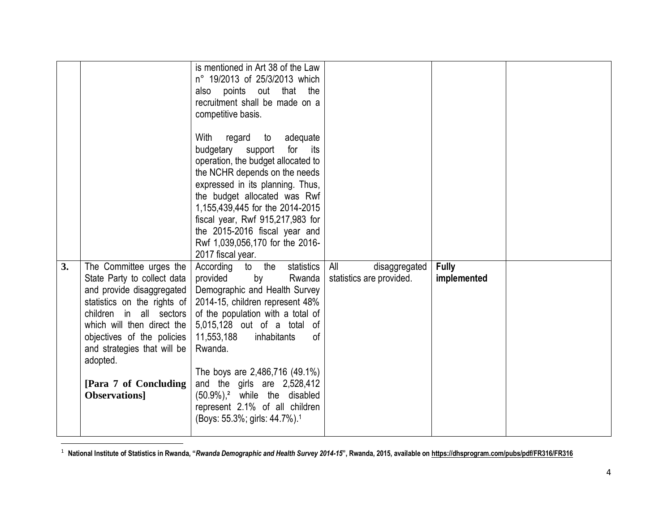|    |                                                                                                                                                                                                                                                      | is mentioned in Art 38 of the Law<br>n° 19/2013 of 25/3/2013 which<br>also points out that the<br>recruitment shall be made on a                                                                                                                                                                         |                                                  |                             |  |
|----|------------------------------------------------------------------------------------------------------------------------------------------------------------------------------------------------------------------------------------------------------|----------------------------------------------------------------------------------------------------------------------------------------------------------------------------------------------------------------------------------------------------------------------------------------------------------|--------------------------------------------------|-----------------------------|--|
|    |                                                                                                                                                                                                                                                      | competitive basis.<br>With<br>regard to<br>adequate<br>budgetary support<br>for<br>its<br>operation, the budget allocated to<br>the NCHR depends on the needs<br>expressed in its planning. Thus,<br>the budget allocated was Rwf<br>1,155,439,445 for the 2014-2015<br>fiscal year, Rwf 915,217,983 for |                                                  |                             |  |
|    |                                                                                                                                                                                                                                                      | the 2015-2016 fiscal year and<br>Rwf 1,039,056,170 for the 2016-<br>2017 fiscal year.                                                                                                                                                                                                                    |                                                  |                             |  |
| 3. | The Committee urges the<br>State Party to collect data<br>and provide disaggregated<br>statistics on the rights of<br>children in all sectors<br>which will then direct the<br>objectives of the policies<br>and strategies that will be<br>adopted. | statistics<br>According<br>to the<br>provided<br>by<br>Rwanda<br>Demographic and Health Survey<br>2014-15, children represent 48%<br>of the population with a total of<br>5,015,128 out of a total of<br>11,553,188<br>inhabitants<br>0f<br>Rwanda.                                                      | All<br>disaggregated<br>statistics are provided. | <b>Fully</b><br>implemented |  |
|    | [Para 7 of Concluding]<br>Observations]                                                                                                                                                                                                              | The boys are 2,486,716 (49.1%)<br>and the girls are 2,528,412<br>$(50.9\%)$ , <sup>2</sup> while the disabled<br>represent 2.1% of all children<br>(Boys: 55.3%; girls: 44.7%). <sup>1</sup>                                                                                                             |                                                  |                             |  |

1 **National Institute of Statistics in Rwanda, "***Rwanda Demographic and Health Survey 2014-15***", Rwanda, 2015, available on <https://dhsprogram.com/pubs/pdf/FR316/FR316>**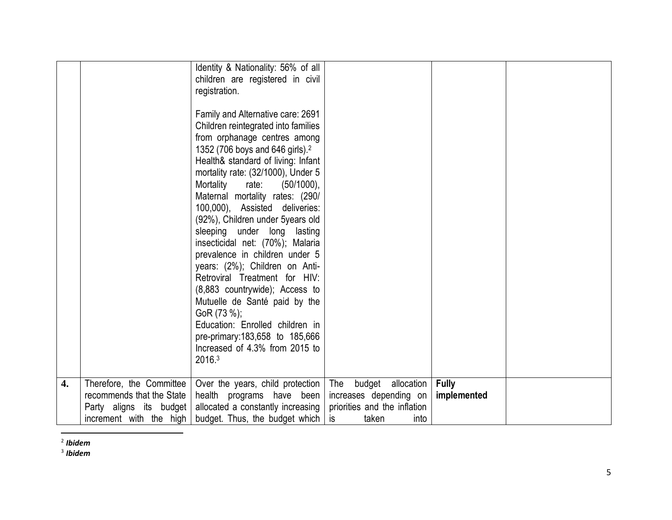|    |                                                                                                             | Identity & Nationality: 56% of all<br>children are registered in civil<br>registration.<br>Family and Alternative care: 2691<br>Children reintegrated into families<br>from orphanage centres among<br>1352 (706 boys and 646 girls). <sup>2</sup><br>Health& standard of living: Infant<br>mortality rate: (32/1000), Under 5<br>Mortality rate:<br>$(50/1000)$ ,<br>Maternal mortality rates: (290/<br>100,000), Assisted deliveries:<br>(92%), Children under 5years old<br>sleeping under long lasting |                                                                                                           |                             |  |
|----|-------------------------------------------------------------------------------------------------------------|------------------------------------------------------------------------------------------------------------------------------------------------------------------------------------------------------------------------------------------------------------------------------------------------------------------------------------------------------------------------------------------------------------------------------------------------------------------------------------------------------------|-----------------------------------------------------------------------------------------------------------|-----------------------------|--|
|    |                                                                                                             | insecticidal net: (70%); Malaria<br>prevalence in children under 5<br>years: (2%); Children on Anti-<br>Retroviral Treatment for HIV:<br>(8,883 countrywide); Access to<br>Mutuelle de Santé paid by the<br>GoR (73 %);<br>Education: Enrolled children in<br>pre-primary: 183, 658 to 185, 666<br>Increased of 4.3% from 2015 to<br>2016.3                                                                                                                                                                |                                                                                                           |                             |  |
| 4. | Therefore, the Committee<br>recommends that the State<br>Party aligns its budget<br>increment with the high | Over the years, child protection<br>health programs have been<br>allocated a constantly increasing<br>budget. Thus, the budget which                                                                                                                                                                                                                                                                                                                                                                       | budget allocation<br>The<br>increases depending on<br>priorities and the inflation<br>is<br>taken<br>into | <b>Fully</b><br>implemented |  |

 2 *Ibidem*

3 *Ibidem*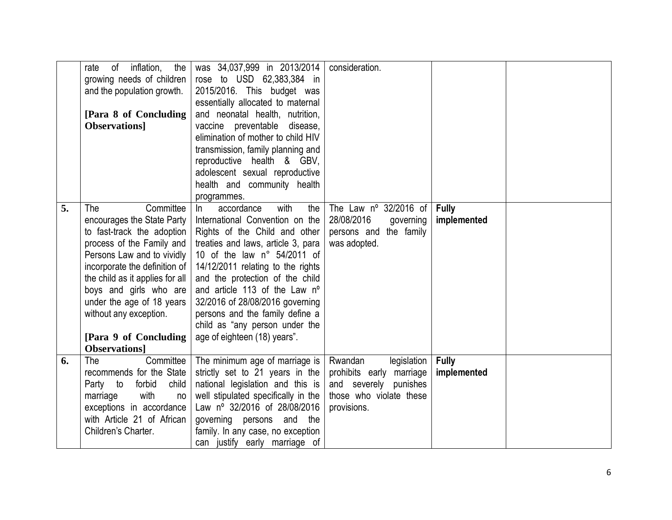|    | of inflation,<br>the<br>rate    | was 34,037,999 in 2013/2014         | consideration.                 |              |  |
|----|---------------------------------|-------------------------------------|--------------------------------|--------------|--|
|    |                                 |                                     |                                |              |  |
|    | growing needs of children       | rose to USD 62,383,384 in           |                                |              |  |
|    | and the population growth.      | 2015/2016. This budget was          |                                |              |  |
|    |                                 | essentially allocated to maternal   |                                |              |  |
|    | [Para 8 of Concluding           | and neonatal health, nutrition,     |                                |              |  |
|    | <b>Observations</b>             | vaccine preventable disease,        |                                |              |  |
|    |                                 | elimination of mother to child HIV  |                                |              |  |
|    |                                 | transmission, family planning and   |                                |              |  |
|    |                                 | reproductive health & GBV,          |                                |              |  |
|    |                                 | adolescent sexual reproductive      |                                |              |  |
|    |                                 | health and community health         |                                |              |  |
|    |                                 | programmes.                         |                                |              |  |
| 5. | Committee<br>The                | with<br>accordance<br>$\ln$<br>the  | The Law $n^{\circ}$ 32/2016 of | <b>Fully</b> |  |
|    | encourages the State Party      | International Convention on the     | 28/08/2016<br>governing        | implemented  |  |
|    | to fast-track the adoption      | Rights of the Child and other       | persons and the family         |              |  |
|    | process of the Family and       | treaties and laws, article 3, para  | was adopted.                   |              |  |
|    | Persons Law and to vividly      | 10 of the law n° 54/2011 of         |                                |              |  |
|    | incorporate the definition of   |                                     |                                |              |  |
|    |                                 | 14/12/2011 relating to the rights   |                                |              |  |
|    | the child as it applies for all | and the protection of the child     |                                |              |  |
|    | boys and girls who are          | and article 113 of the Law n°       |                                |              |  |
|    | under the age of 18 years       | 32/2016 of 28/08/2016 governing     |                                |              |  |
|    | without any exception.          | persons and the family define a     |                                |              |  |
|    |                                 | child as "any person under the      |                                |              |  |
|    | [Para 9 of Concluding           | age of eighteen (18) years".        |                                |              |  |
|    | <b>Observations</b>             |                                     |                                |              |  |
| 6. | Committee<br>The                | The minimum age of marriage is      | Rwandan<br>legislation         | <b>Fully</b> |  |
|    | recommends for the State        | strictly set to 21 years in the     | prohibits early marriage       | implemented  |  |
|    | Party to<br>forbid<br>child     | national legislation and this is    | and severely punishes          |              |  |
|    | with<br>marriage<br>no          | well stipulated specifically in the | those who violate these        |              |  |
|    | exceptions in accordance        | Law nº 32/2016 of 28/08/2016        | provisions.                    |              |  |
|    | with Article 21 of African      | governing persons and the           |                                |              |  |
|    | Children's Charter.             | family. In any case, no exception   |                                |              |  |
|    |                                 | can justify early marriage of       |                                |              |  |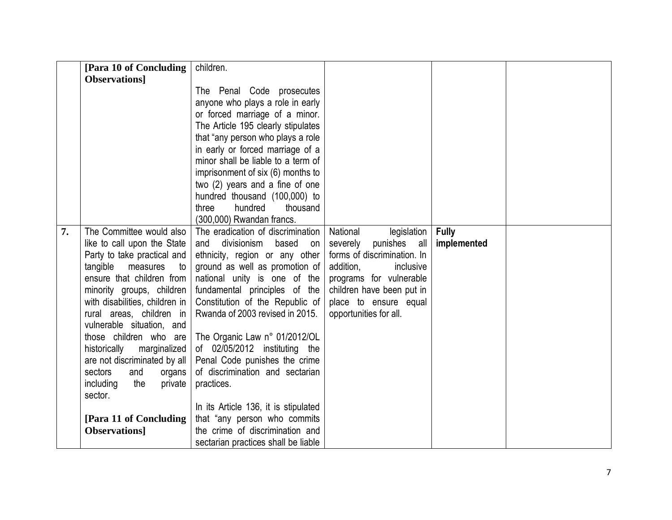| [Para 10 of Concluding                                                                                                                                                                                                                                                                                                                                                                                                                                                                   | children.                                                                                                                                                                                                                                                                                                                                                                                                                                                                                                                                                                         |                                                                                                                                                                                                                      |                             |  |
|------------------------------------------------------------------------------------------------------------------------------------------------------------------------------------------------------------------------------------------------------------------------------------------------------------------------------------------------------------------------------------------------------------------------------------------------------------------------------------------|-----------------------------------------------------------------------------------------------------------------------------------------------------------------------------------------------------------------------------------------------------------------------------------------------------------------------------------------------------------------------------------------------------------------------------------------------------------------------------------------------------------------------------------------------------------------------------------|----------------------------------------------------------------------------------------------------------------------------------------------------------------------------------------------------------------------|-----------------------------|--|
| <b>Observations</b>                                                                                                                                                                                                                                                                                                                                                                                                                                                                      |                                                                                                                                                                                                                                                                                                                                                                                                                                                                                                                                                                                   |                                                                                                                                                                                                                      |                             |  |
|                                                                                                                                                                                                                                                                                                                                                                                                                                                                                          | The Penal Code prosecutes<br>anyone who plays a role in early<br>or forced marriage of a minor.<br>The Article 195 clearly stipulates<br>that "any person who plays a role<br>in early or forced marriage of a<br>minor shall be liable to a term of<br>imprisonment of six (6) months to<br>two (2) years and a fine of one<br>hundred thousand (100,000) to<br>hundred<br>thousand<br>three<br>(300,000) Rwandan francs.                                                                                                                                                        |                                                                                                                                                                                                                      |                             |  |
| The Committee would also<br>7.<br>like to call upon the State<br>Party to take practical and<br>tangible<br>measures<br>to<br>ensure that children from<br>minority groups, children<br>with disabilities, children in<br>rural areas, children in<br>vulnerable situation, and<br>those children who are<br>historically marginalized<br>are not discriminated by all<br>sectors<br>organs<br>and<br>including<br>private<br>the<br>sector.<br>[Para 11 of Concluding]<br>Observations] | The eradication of discrimination<br>and divisionism<br>based on<br>ethnicity, region or any other<br>ground as well as promotion of<br>national unity is one of the<br>fundamental principles of the<br>Constitution of the Republic of<br>Rwanda of 2003 revised in 2015.<br>The Organic Law n° 01/2012/OL<br>of 02/05/2012 instituting the<br>Penal Code punishes the crime<br>of discrimination and sectarian<br>practices.<br>In its Article 136, it is stipulated<br>that "any person who commits<br>the crime of discrimination and<br>sectarian practices shall be liable | National<br>legislation<br>severely punishes all<br>forms of discrimination. In<br>addition,<br>inclusive<br>programs for vulnerable<br>children have been put in<br>place to ensure equal<br>opportunities for all. | <b>Fully</b><br>implemented |  |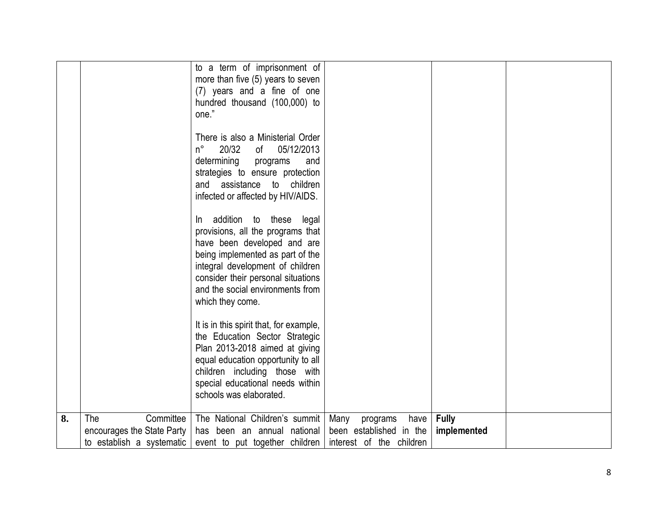|    |                            | to a term of imprisonment of             |                          |              |  |
|----|----------------------------|------------------------------------------|--------------------------|--------------|--|
|    |                            | more than five (5) years to seven        |                          |              |  |
|    |                            | (7) years and a fine of one              |                          |              |  |
|    |                            | hundred thousand (100,000) to            |                          |              |  |
|    |                            | one."                                    |                          |              |  |
|    |                            |                                          |                          |              |  |
|    |                            | There is also a Ministerial Order        |                          |              |  |
|    |                            | 20/32<br>05/12/2013<br>$n^{\circ}$<br>of |                          |              |  |
|    |                            | determining<br>programs<br>and           |                          |              |  |
|    |                            | strategies to ensure protection          |                          |              |  |
|    |                            | assistance to<br>children<br>and         |                          |              |  |
|    |                            | infected or affected by HIV/AIDS.        |                          |              |  |
|    |                            |                                          |                          |              |  |
|    |                            | addition to these<br>legal<br>In.        |                          |              |  |
|    |                            | provisions, all the programs that        |                          |              |  |
|    |                            | have been developed and are              |                          |              |  |
|    |                            | being implemented as part of the         |                          |              |  |
|    |                            | integral development of children         |                          |              |  |
|    |                            | consider their personal situations       |                          |              |  |
|    |                            | and the social environments from         |                          |              |  |
|    |                            | which they come.                         |                          |              |  |
|    |                            |                                          |                          |              |  |
|    |                            | It is in this spirit that, for example,  |                          |              |  |
|    |                            | the Education Sector Strategic           |                          |              |  |
|    |                            | Plan 2013-2018 aimed at giving           |                          |              |  |
|    |                            | equal education opportunity to all       |                          |              |  |
|    |                            | children including those with            |                          |              |  |
|    |                            | special educational needs within         |                          |              |  |
|    |                            | schools was elaborated.                  |                          |              |  |
|    |                            |                                          |                          |              |  |
| 8. | The<br>Committee           | The National Children's summit           | Many<br>programs<br>have | <b>Fully</b> |  |
|    | encourages the State Party | has been an annual national              | been established in the  | implemented  |  |
|    | to establish a systematic  | event to put together children           | interest of the children |              |  |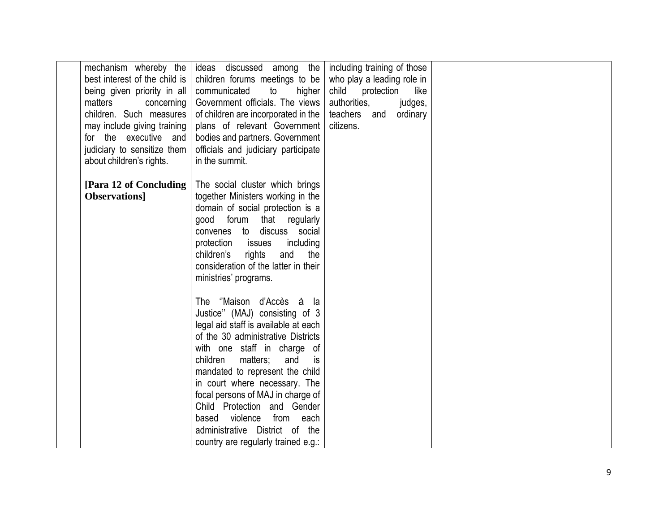| best interest of the child is<br>being given priority in all<br>matters<br>concerning<br>children. Such measures<br>may include giving training<br>for the executive and<br>judiciary to sensitize them<br>about children's rights. | mechanism whereby the ideas discussed among the including training of those<br>children forums meetings to be<br>communicated<br>higher<br>to<br>Government officials. The views<br>of children are incorporated in the<br>plans of relevant Government<br>bodies and partners. Government<br>officials and judiciary participate<br>in the summit.                                                                                                          | who play a leading role in<br>child<br>protection<br>like<br>authorities,<br>judges,<br>teachers and ordinary<br>citizens. |  |
|-------------------------------------------------------------------------------------------------------------------------------------------------------------------------------------------------------------------------------------|--------------------------------------------------------------------------------------------------------------------------------------------------------------------------------------------------------------------------------------------------------------------------------------------------------------------------------------------------------------------------------------------------------------------------------------------------------------|----------------------------------------------------------------------------------------------------------------------------|--|
| [Para 12 of Concluding  <br><b>Observations</b>                                                                                                                                                                                     | The social cluster which brings<br>together Ministers working in the<br>domain of social protection is a<br>good forum that regularly<br>convenes to discuss social<br>protection issues<br>including<br>children's<br>rights<br>and<br>the<br>consideration of the latter in their<br>ministries' programs.                                                                                                                                                 |                                                                                                                            |  |
|                                                                                                                                                                                                                                     | The "Maison d'Accès à la<br>Justice" (MAJ) consisting of 3<br>legal aid staff is available at each<br>of the 30 administrative Districts<br>with one staff in charge of<br>children<br>matters;<br>and<br>is<br>mandated to represent the child<br>in court where necessary. The<br>focal persons of MAJ in charge of<br>Child Protection and Gender<br>from each<br>based violence<br>administrative District of the<br>country are regularly trained e.g.: |                                                                                                                            |  |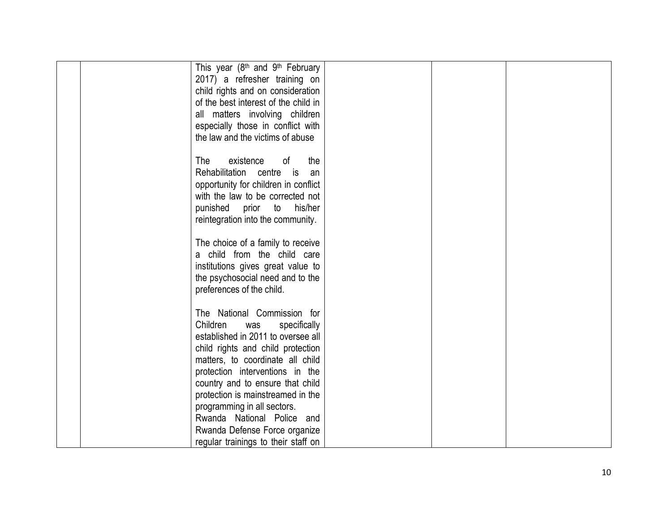| This year (8 <sup>th</sup> and 9 <sup>th</sup> February<br>2017) a refresher training on<br>child rights and on consideration<br>of the best interest of the child in<br>all matters involving children<br>especially those in conflict with                  |  |
|---------------------------------------------------------------------------------------------------------------------------------------------------------------------------------------------------------------------------------------------------------------|--|
| the law and the victims of abuse<br>The<br>existence<br>οf<br>the<br>Rehabilitation centre<br>is is<br>an<br>opportunity for children in conflict<br>with the law to be corrected not<br>punished<br>prior to<br>his/her<br>reintegration into the community. |  |
| The choice of a family to receive<br>a child from the child care<br>institutions gives great value to<br>the psychosocial need and to the<br>preferences of the child.                                                                                        |  |
| The National Commission for<br>Children<br>specifically<br>was<br>established in 2011 to oversee all<br>child rights and child protection<br>matters, to coordinate all child<br>protection interventions in the<br>country and to ensure that child          |  |
| protection is mainstreamed in the<br>programming in all sectors.<br>Rwanda National Police and<br>Rwanda Defense Force organize<br>regular trainings to their staff on                                                                                        |  |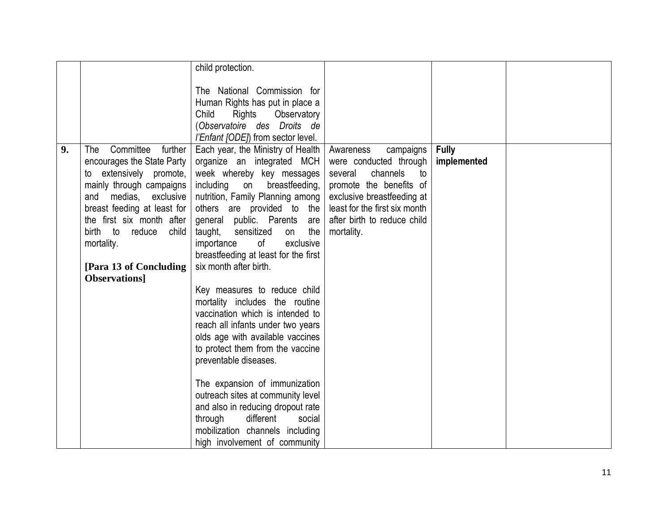|    |                             | child protection.                          |                               |              |  |
|----|-----------------------------|--------------------------------------------|-------------------------------|--------------|--|
|    |                             |                                            |                               |              |  |
|    |                             | The National Commission for                |                               |              |  |
|    |                             | Human Rights has put in place a            |                               |              |  |
|    |                             | Child<br>Rights<br>Observatory             |                               |              |  |
|    |                             | (Observatoire des Droits de                |                               |              |  |
|    |                             | <i>l'Enfant [ODE]</i> ) from sector level. |                               |              |  |
| 9. | Committee<br>further<br>The | Each year, the Ministry of Health          | campaigns<br>Awareness        | <b>Fully</b> |  |
|    | encourages the State Party  | organize an integrated MCH                 | were conducted through        | implemented  |  |
|    | to extensively promote,     | week whereby key messages                  | channels<br>several<br>to     |              |  |
|    | mainly through campaigns    | including<br>on<br>breastfeeding,          | promote the benefits of       |              |  |
|    | and<br>medias,<br>exclusive | nutrition, Family Planning among           | exclusive breastfeeding at    |              |  |
|    | breast feeding at least for | others are provided to the                 | least for the first six month |              |  |
|    | the first six month after   | general public. Parents are                | after birth to reduce child   |              |  |
|    | birth to<br>child<br>reduce | the<br>taught,<br>sensitized<br>on         | mortality.                    |              |  |
|    |                             | exclusive<br>importance<br>of              |                               |              |  |
|    | mortality.                  |                                            |                               |              |  |
|    |                             | breastfeeding at least for the first       |                               |              |  |
|    | [Para 13 of Concluding]     | six month after birth.                     |                               |              |  |
|    | Observations]               |                                            |                               |              |  |
|    |                             | Key measures to reduce child               |                               |              |  |
|    |                             | mortality includes the routine             |                               |              |  |
|    |                             | vaccination which is intended to           |                               |              |  |
|    |                             | reach all infants under two years          |                               |              |  |
|    |                             | olds age with available vaccines           |                               |              |  |
|    |                             | to protect them from the vaccine           |                               |              |  |
|    |                             | preventable diseases.                      |                               |              |  |
|    |                             |                                            |                               |              |  |
|    |                             | The expansion of immunization              |                               |              |  |
|    |                             | outreach sites at community level          |                               |              |  |
|    |                             | and also in reducing dropout rate          |                               |              |  |
|    |                             | through<br>different<br>social             |                               |              |  |
|    |                             | mobilization channels including            |                               |              |  |
|    |                             | high involvement of community              |                               |              |  |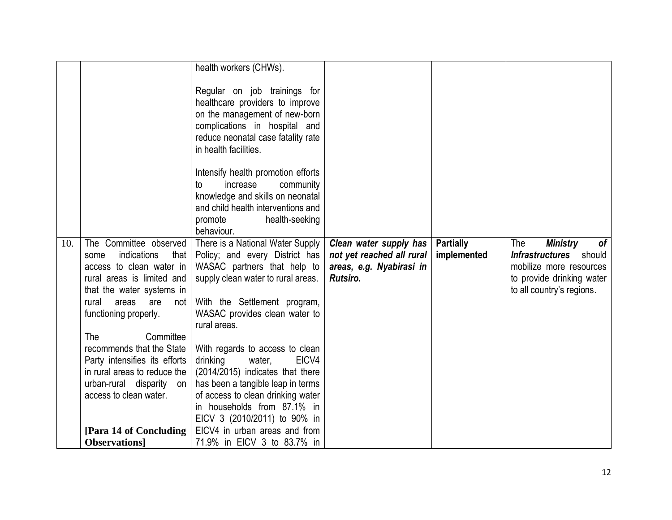|     |                                                                                                                                                                              | health workers (CHWs).                                                                                                                                                                           |                                                                                             |                                 |                                                                                                                                             |
|-----|------------------------------------------------------------------------------------------------------------------------------------------------------------------------------|--------------------------------------------------------------------------------------------------------------------------------------------------------------------------------------------------|---------------------------------------------------------------------------------------------|---------------------------------|---------------------------------------------------------------------------------------------------------------------------------------------|
|     |                                                                                                                                                                              | Regular on job trainings for<br>healthcare providers to improve<br>on the management of new-born<br>complications in hospital and<br>reduce neonatal case fatality rate<br>in health facilities. |                                                                                             |                                 |                                                                                                                                             |
|     |                                                                                                                                                                              | Intensify health promotion efforts<br>increase<br>community<br>to<br>knowledge and skills on neonatal<br>and child health interventions and<br>health-seeking<br>promote<br>behaviour.           |                                                                                             |                                 |                                                                                                                                             |
| 10. | The Committee observed<br>indications<br>that<br>some<br>access to clean water in<br>rural areas is limited and<br>that the water systems in<br>rural<br>areas<br>are<br>not | There is a National Water Supply<br>Policy; and every District has<br>WASAC partners that help to<br>supply clean water to rural areas.<br>With the Settlement program,                          | Clean water supply has<br>not yet reached all rural<br>areas, e.g. Nyabirasi in<br>Rutsiro. | <b>Partially</b><br>implemented | <b>Ministry</b><br>The<br>of<br>Infrastructures should<br>mobilize more resources<br>to provide drinking water<br>to all country's regions. |
|     | functioning properly.<br>The<br>Committee                                                                                                                                    | WASAC provides clean water to<br>rural areas.                                                                                                                                                    |                                                                                             |                                 |                                                                                                                                             |
|     | recommends that the State<br>Party intensifies its efforts<br>in rural areas to reduce the                                                                                   | With regards to access to clean<br>drinking<br>water,<br>EICV4<br>(2014/2015) indicates that there                                                                                               |                                                                                             |                                 |                                                                                                                                             |
|     | urban-rural disparity on<br>access to clean water.                                                                                                                           | has been a tangible leap in terms<br>of access to clean drinking water<br>in households from 87.1% in<br>EICV 3 (2010/2011) to 90% in                                                            |                                                                                             |                                 |                                                                                                                                             |
|     | [Para 14 of Concluding]<br><b>Observations</b>                                                                                                                               | EICV4 in urban areas and from<br>71.9% in EICV 3 to 83.7% in                                                                                                                                     |                                                                                             |                                 |                                                                                                                                             |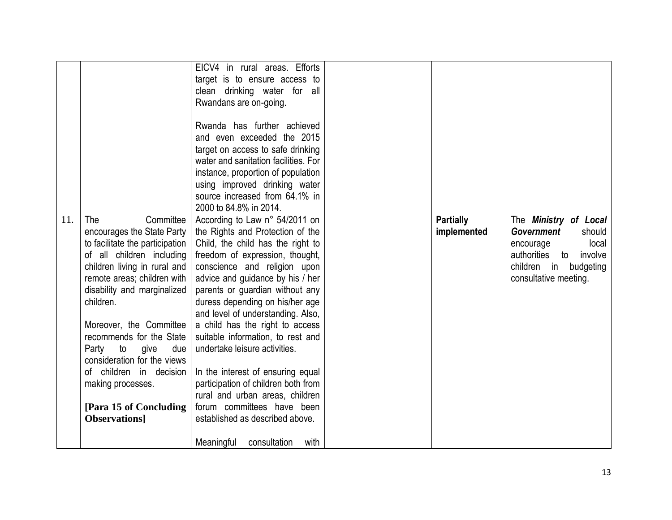|                                                                                                                                                                                                                                                                                                                                                                                                                                                  | EICV4 in rural areas. Efforts<br>target is to ensure access to<br>clean drinking water for all<br>Rwandans are on-going.<br>Rwanda has further achieved<br>and even exceeded the 2015<br>target on access to safe drinking<br>water and sanitation facilities. For<br>instance, proportion of population<br>using improved drinking water<br>source increased from 64.1% in<br>2000 to 84.8% in 2014.                                                                                                                                                                                                                                                    |                                 |                                                                                                                                                           |
|--------------------------------------------------------------------------------------------------------------------------------------------------------------------------------------------------------------------------------------------------------------------------------------------------------------------------------------------------------------------------------------------------------------------------------------------------|----------------------------------------------------------------------------------------------------------------------------------------------------------------------------------------------------------------------------------------------------------------------------------------------------------------------------------------------------------------------------------------------------------------------------------------------------------------------------------------------------------------------------------------------------------------------------------------------------------------------------------------------------------|---------------------------------|-----------------------------------------------------------------------------------------------------------------------------------------------------------|
| Committee<br>11.<br>The<br>encourages the State Party<br>to facilitate the participation<br>of all children including<br>children living in rural and<br>remote areas; children with<br>disability and marginalized<br>children.<br>Moreover, the Committee<br>recommends for the State<br>Party to give<br>due<br>consideration for the views<br>of children in decision<br>making processes.<br>[Para 15 of Concluding]<br><b>Observations</b> | According to Law n° 54/2011 on<br>the Rights and Protection of the<br>Child, the child has the right to<br>freedom of expression, thought,<br>conscience and religion upon<br>advice and guidance by his / her<br>parents or guardian without any<br>duress depending on his/her age<br>and level of understanding. Also,<br>a child has the right to access<br>suitable information, to rest and<br>undertake leisure activities.<br>In the interest of ensuring equal<br>participation of children both from<br>rural and urban areas, children<br>forum committees have been<br>established as described above.<br>Meaningful<br>consultation<br>with | <b>Partially</b><br>implemented | The Ministry of Local<br><b>Government</b><br>should<br>local<br>encourage<br>authorities to<br>involve<br>children in budgeting<br>consultative meeting. |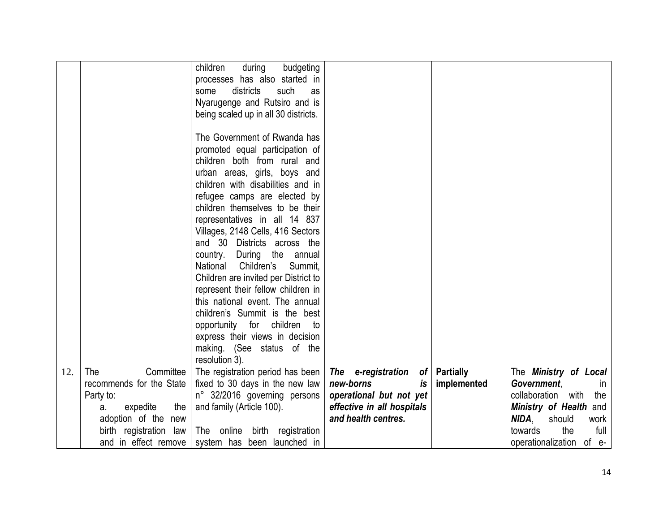|     |                                                | children<br>during<br>budgeting<br>processes has also started in<br>districts<br>such<br>some<br>as<br>Nyarugenge and Rutsiro and is<br>being scaled up in all 30 districts. |                            |                  |                                                   |
|-----|------------------------------------------------|------------------------------------------------------------------------------------------------------------------------------------------------------------------------------|----------------------------|------------------|---------------------------------------------------|
|     |                                                | The Government of Rwanda has                                                                                                                                                 |                            |                  |                                                   |
|     |                                                | promoted equal participation of                                                                                                                                              |                            |                  |                                                   |
|     |                                                | children both from rural and                                                                                                                                                 |                            |                  |                                                   |
|     |                                                | urban areas, girls, boys and<br>children with disabilities and in                                                                                                            |                            |                  |                                                   |
|     |                                                | refugee camps are elected by                                                                                                                                                 |                            |                  |                                                   |
|     |                                                | children themselves to be their                                                                                                                                              |                            |                  |                                                   |
|     |                                                | representatives in all 14 837                                                                                                                                                |                            |                  |                                                   |
|     |                                                | Villages, 2148 Cells, 416 Sectors                                                                                                                                            |                            |                  |                                                   |
|     |                                                | and 30 Districts across the                                                                                                                                                  |                            |                  |                                                   |
|     |                                                | During the annual<br>country.<br>Children's<br>Summit,<br>National                                                                                                           |                            |                  |                                                   |
|     |                                                | Children are invited per District to                                                                                                                                         |                            |                  |                                                   |
|     |                                                | represent their fellow children in                                                                                                                                           |                            |                  |                                                   |
|     |                                                | this national event. The annual                                                                                                                                              |                            |                  |                                                   |
|     |                                                | children's Summit is the best                                                                                                                                                |                            |                  |                                                   |
|     |                                                | opportunity for children<br>to                                                                                                                                               |                            |                  |                                                   |
|     |                                                | express their views in decision<br>making. (See status of the                                                                                                                |                            |                  |                                                   |
|     |                                                | resolution 3).                                                                                                                                                               |                            |                  |                                                   |
| 12. | Committee<br>The                               | The registration period has been                                                                                                                                             | The e-registration<br>of   | <b>Partially</b> | The Ministry of Local                             |
|     | recommends for the State                       | fixed to 30 days in the new law                                                                                                                                              | new-borns<br>is            | implemented      | Government.<br>$\mathsf{I}$                       |
|     | Party to:                                      | n° 32/2016 governing persons                                                                                                                                                 | operational but not yet    |                  | collaboration with<br>the                         |
|     | the<br>expedite<br>a.                          | and family (Article 100).                                                                                                                                                    | effective in all hospitals |                  | Ministry of Health and                            |
|     | adoption of the new                            |                                                                                                                                                                              | and health centres.        |                  | NIDA,<br>should<br>work<br>towards<br>the<br>full |
|     | birth registration law<br>and in effect remove | The online birth registration<br>system has been launched in                                                                                                                 |                            |                  | operationalization of e-                          |
|     |                                                |                                                                                                                                                                              |                            |                  |                                                   |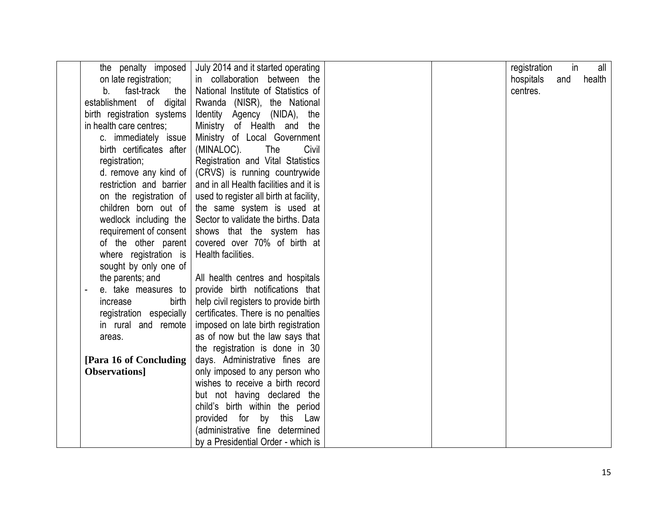| the penalty imposed                   | July 2014 and it started operating      |  | registration | in  | all    |
|---------------------------------------|-----------------------------------------|--|--------------|-----|--------|
| on late registration;                 | in collaboration between the            |  | hospitals    | and | health |
| fast-track<br>b.<br>the               | National Institute of Statistics of     |  | centres.     |     |        |
| establishment of digital              | Rwanda (NISR), the National             |  |              |     |        |
| birth registration systems            | Identity Agency (NIDA), the             |  |              |     |        |
| in health care centres;               | Ministry of Health and<br>the           |  |              |     |        |
| c. immediately issue                  | Ministry of Local Government            |  |              |     |        |
| birth certificates after              | Civil<br>(MINALOC).<br>The              |  |              |     |        |
| registration;                         | Registration and Vital Statistics       |  |              |     |        |
| d. remove any kind of $ $             | (CRVS) is running countrywide           |  |              |     |        |
| restriction and barrier               | and in all Health facilities and it is  |  |              |     |        |
| on the registration of                | used to register all birth at facility, |  |              |     |        |
| children born out of                  | the same system is used at              |  |              |     |        |
| wedlock including the                 | Sector to validate the births. Data     |  |              |     |        |
| requirement of consent                | shows that the system has               |  |              |     |        |
| of the other parent                   | covered over 70% of birth at            |  |              |     |        |
| where registration is                 | Health facilities.                      |  |              |     |        |
| sought by only one of                 |                                         |  |              |     |        |
| the parents; and                      | All health centres and hospitals        |  |              |     |        |
| e. take measures to<br>$\blacksquare$ | provide birth notifications that        |  |              |     |        |
| increase<br>birth                     | help civil registers to provide birth   |  |              |     |        |
| registration especially               | certificates. There is no penalties     |  |              |     |        |
| in rural and remote                   | imposed on late birth registration      |  |              |     |        |
| areas.                                | as of now but the law says that         |  |              |     |        |
|                                       | the registration is done in 30          |  |              |     |        |
| [Para 16 of Concluding]               | days. Administrative fines are          |  |              |     |        |
| Observations]                         | only imposed to any person who          |  |              |     |        |
|                                       | wishes to receive a birth record        |  |              |     |        |
|                                       | but not having declared the             |  |              |     |        |
|                                       | child's birth within the period         |  |              |     |        |
|                                       | provided for<br>by<br>this Law          |  |              |     |        |
|                                       | (administrative fine determined         |  |              |     |        |
|                                       | by a Presidential Order - which is      |  |              |     |        |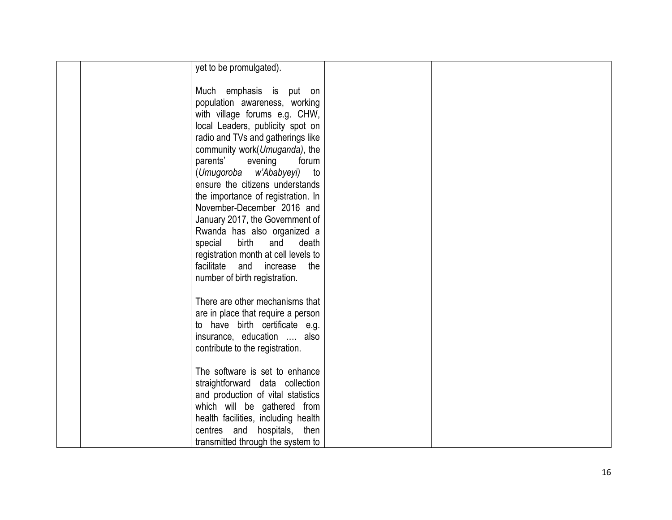| yet to be promulgated).              |  |
|--------------------------------------|--|
|                                      |  |
| Much emphasis is put on              |  |
| population awareness, working        |  |
| with village forums e.g. CHW,        |  |
| local Leaders, publicity spot on     |  |
| radio and TVs and gatherings like    |  |
| community work(Umuganda), the        |  |
| parents'<br>evening<br>forum         |  |
| (Umugoroba w'Ababyeyi)<br>to         |  |
| ensure the citizens understands      |  |
| the importance of registration. In   |  |
| November-December 2016 and           |  |
| January 2017, the Government of      |  |
| Rwanda has also organized a          |  |
| birth<br>special<br>and<br>death     |  |
| registration month at cell levels to |  |
| facilitate<br>and<br>increase<br>the |  |
| number of birth registration.        |  |
|                                      |  |
| There are other mechanisms that      |  |
| are in place that require a person   |  |
| to have birth certificate e.g.       |  |
| insurance, education  also           |  |
| contribute to the registration.      |  |
|                                      |  |
| The software is set to enhance       |  |
| straightforward data collection      |  |
| and production of vital statistics   |  |
| which will be gathered from          |  |
| health facilities, including health  |  |
| centres and hospitals, then          |  |
| transmitted through the system to    |  |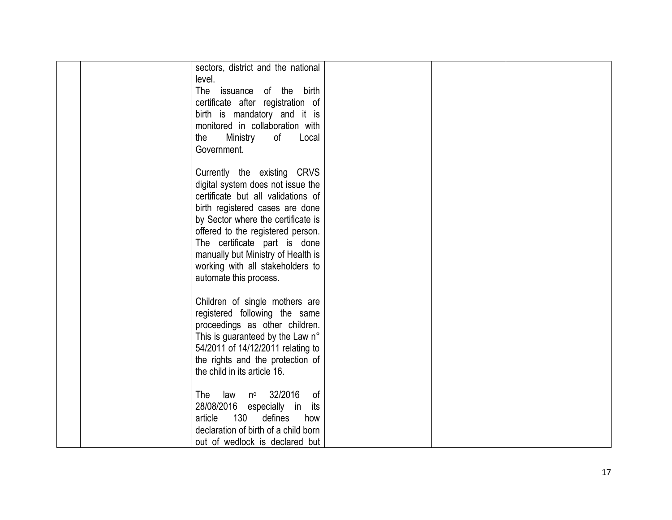| sectors, district and the national<br>level. |  |
|----------------------------------------------|--|
| The issuance of the birth                    |  |
| certificate after registration of            |  |
| birth is mandatory and it is                 |  |
| monitored in collaboration with              |  |
| the<br>Ministry<br>of<br>Local               |  |
| Government.                                  |  |
| Currently the existing CRVS                  |  |
| digital system does not issue the            |  |
| certificate but all validations of           |  |
| birth registered cases are done              |  |
| by Sector where the certificate is           |  |
| offered to the registered person.            |  |
| The certificate part is done                 |  |
| manually but Ministry of Health is           |  |
| working with all stakeholders to             |  |
| automate this process.                       |  |
| Children of single mothers are               |  |
| registered following the same                |  |
| proceedings as other children.               |  |
| This is guaranteed by the Law n°             |  |
| 54/2011 of 14/12/2011 relating to            |  |
| the rights and the protection of             |  |
| the child in its article 16.                 |  |
| nº 32/2016<br>The<br>law<br>of               |  |
| 28/08/2016 especially in<br>its              |  |
| 130<br>defines<br>article<br>how             |  |
| declaration of birth of a child born         |  |
| out of wedlock is declared but               |  |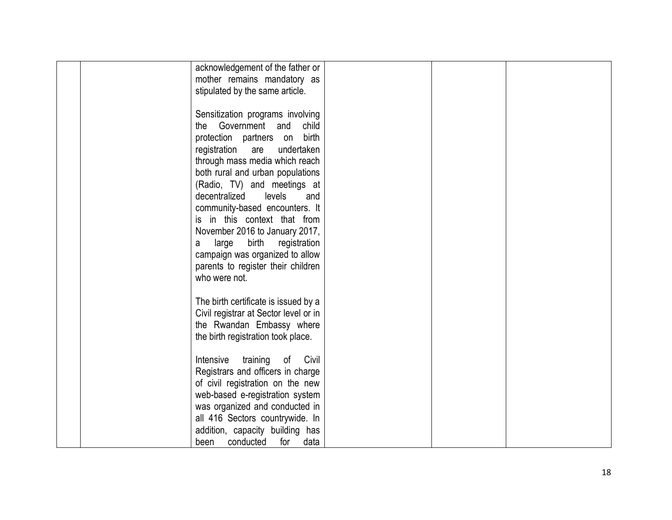|               | acknowledgement of the father or      |  |  |
|---------------|---------------------------------------|--|--|
|               | mother remains mandatory as           |  |  |
|               | stipulated by the same article.       |  |  |
|               |                                       |  |  |
|               | Sensitization programs involving      |  |  |
| the           | Government and<br>child               |  |  |
|               | protection partners on birth          |  |  |
|               |                                       |  |  |
| registration  | are<br>undertaken                     |  |  |
|               | through mass media which reach        |  |  |
|               | both rural and urban populations      |  |  |
|               | (Radio, TV) and meetings at           |  |  |
| decentralized | levels<br>and                         |  |  |
|               | community-based encounters. It        |  |  |
|               | is in this context that from          |  |  |
|               | November 2016 to January 2017,        |  |  |
| large<br>а    | birth<br>registration                 |  |  |
|               | campaign was organized to allow       |  |  |
|               | parents to register their children    |  |  |
| who were not. |                                       |  |  |
|               |                                       |  |  |
|               |                                       |  |  |
|               | The birth certificate is issued by a  |  |  |
|               | Civil registrar at Sector level or in |  |  |
|               | the Rwandan Embassy where             |  |  |
|               | the birth registration took place.    |  |  |
|               |                                       |  |  |
| Intensive     | training<br>Civil<br>of               |  |  |
|               | Registrars and officers in charge     |  |  |
|               | of civil registration on the new      |  |  |
|               | web-based e-registration system       |  |  |
|               | was organized and conducted in        |  |  |
|               | all 416 Sectors countrywide. In       |  |  |
|               | addition, capacity building has       |  |  |
| conducted     | for<br>data                           |  |  |
| been          |                                       |  |  |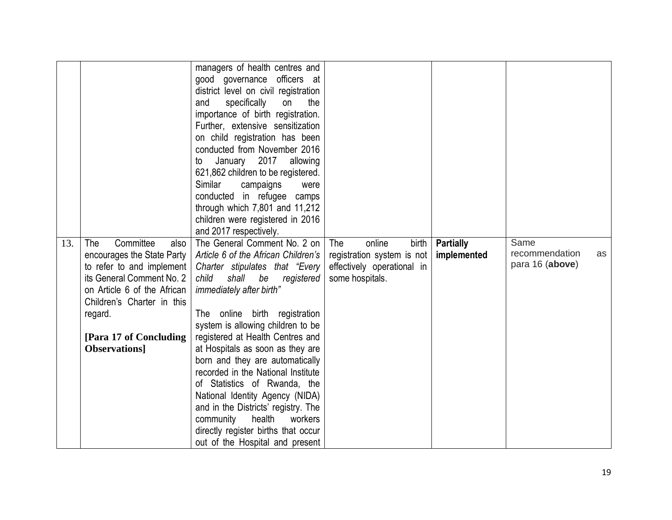| 13. | Committee<br>The<br>also<br>encourages the State Party    | managers of health centres and<br>good governance officers at<br>district level on civil registration<br>specifically<br>the<br>and<br>on<br>importance of birth registration.<br>Further, extensive sensitization<br>on child registration has been<br>conducted from November 2016<br>January 2017<br>allowing<br>to<br>621,862 children to be registered.<br>Similar<br>campaigns<br>were<br>conducted in refugee camps<br>through which $7,801$ and $11,212$<br>children were registered in 2016<br>and 2017 respectively.<br>The General Comment No. 2 on<br>Article 6 of the African Children's | The<br>online<br>birth<br>registration system is not | <b>Partially</b><br>implemented | Same<br>recommendation | as |
|-----|-----------------------------------------------------------|-------------------------------------------------------------------------------------------------------------------------------------------------------------------------------------------------------------------------------------------------------------------------------------------------------------------------------------------------------------------------------------------------------------------------------------------------------------------------------------------------------------------------------------------------------------------------------------------------------|------------------------------------------------------|---------------------------------|------------------------|----|
|     | to refer to and implement<br>its General Comment No. 2    | Charter stipulates that "Every<br>be<br>child<br>shall<br>registered                                                                                                                                                                                                                                                                                                                                                                                                                                                                                                                                  | effectively operational in<br>some hospitals.        |                                 | para 16 (above)        |    |
|     | on Article 6 of the African<br>Children's Charter in this | immediately after birth"                                                                                                                                                                                                                                                                                                                                                                                                                                                                                                                                                                              |                                                      |                                 |                        |    |
|     | regard.                                                   | The online birth registration<br>system is allowing children to be                                                                                                                                                                                                                                                                                                                                                                                                                                                                                                                                    |                                                      |                                 |                        |    |
|     | [Para 17 of Concluding]                                   | registered at Health Centres and                                                                                                                                                                                                                                                                                                                                                                                                                                                                                                                                                                      |                                                      |                                 |                        |    |
|     | Observations]                                             | at Hospitals as soon as they are                                                                                                                                                                                                                                                                                                                                                                                                                                                                                                                                                                      |                                                      |                                 |                        |    |
|     |                                                           | born and they are automatically<br>recorded in the National Institute                                                                                                                                                                                                                                                                                                                                                                                                                                                                                                                                 |                                                      |                                 |                        |    |
|     |                                                           | of Statistics of Rwanda, the                                                                                                                                                                                                                                                                                                                                                                                                                                                                                                                                                                          |                                                      |                                 |                        |    |
|     |                                                           | National Identity Agency (NIDA)                                                                                                                                                                                                                                                                                                                                                                                                                                                                                                                                                                       |                                                      |                                 |                        |    |
|     |                                                           | and in the Districts' registry. The                                                                                                                                                                                                                                                                                                                                                                                                                                                                                                                                                                   |                                                      |                                 |                        |    |
|     |                                                           | health<br>community<br>workers                                                                                                                                                                                                                                                                                                                                                                                                                                                                                                                                                                        |                                                      |                                 |                        |    |
|     |                                                           | directly register births that occur<br>out of the Hospital and present                                                                                                                                                                                                                                                                                                                                                                                                                                                                                                                                |                                                      |                                 |                        |    |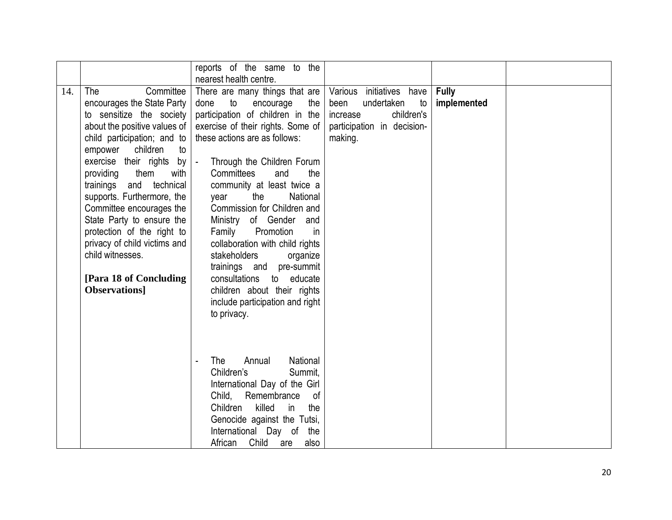|     |                                                                                                                                                                                                                                                                                                                                                                                                                                                                                | reports of the same to the<br>nearest health centre.                                                                                                                                                                                                                                                                                                                                                                                                                                                                                                                                                          |                                                                                                                         |                             |  |
|-----|--------------------------------------------------------------------------------------------------------------------------------------------------------------------------------------------------------------------------------------------------------------------------------------------------------------------------------------------------------------------------------------------------------------------------------------------------------------------------------|---------------------------------------------------------------------------------------------------------------------------------------------------------------------------------------------------------------------------------------------------------------------------------------------------------------------------------------------------------------------------------------------------------------------------------------------------------------------------------------------------------------------------------------------------------------------------------------------------------------|-------------------------------------------------------------------------------------------------------------------------|-----------------------------|--|
| 14. | The<br>Committee<br>encourages the State Party<br>to sensitize the society<br>about the positive values of<br>child participation; and to<br>children<br>empower<br>to<br>exercise their rights by<br>providing<br>them<br>with<br>trainings and technical<br>supports. Furthermore, the<br>Committee encourages the<br>State Party to ensure the<br>protection of the right to<br>privacy of child victims and<br>child witnesses.<br>[Para 18 of Concluding<br>Observations] | There are many things that are<br>done<br>to<br>encourage<br>the<br>participation of children in the<br>exercise of their rights. Some of<br>these actions are as follows:<br>Through the Children Forum<br>$\blacksquare$<br>Committees<br>and<br>the<br>community at least twice a<br>the<br>National<br>year<br>Commission for Children and<br>Ministry of Gender and<br>Family<br>Promotion<br>in<br>collaboration with child rights<br>stakeholders<br>organize<br>trainings and pre-summit<br>consultations to educate<br>children about their rights<br>include participation and right<br>to privacy. | Various initiatives have<br>undertaken<br>been<br>to<br>children's<br>increase<br>participation in decision-<br>making. | <b>Fully</b><br>implemented |  |
|     |                                                                                                                                                                                                                                                                                                                                                                                                                                                                                | Annual<br>National<br>The<br>Children's<br>Summit,<br>International Day of the Girl<br>Child, Remembrance<br>of<br>killed<br>Children<br>the<br>in<br>Genocide against the Tutsi,<br>International Day of the<br>African Child<br>are<br>also                                                                                                                                                                                                                                                                                                                                                                 |                                                                                                                         |                             |  |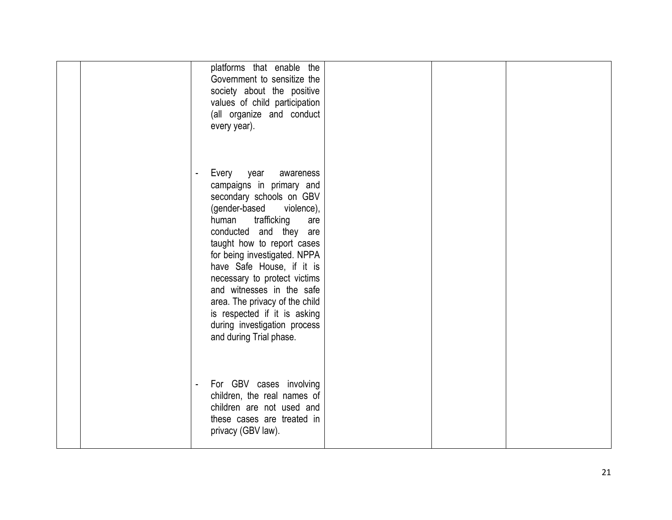|  | platforms that enable the<br>Government to sensitize the<br>society about the positive<br>values of child participation<br>(all organize and conduct<br>every year).                                                                                                                                                                                                                                                                                         |  |  |
|--|--------------------------------------------------------------------------------------------------------------------------------------------------------------------------------------------------------------------------------------------------------------------------------------------------------------------------------------------------------------------------------------------------------------------------------------------------------------|--|--|
|  | Every<br>year<br>awareness<br>campaigns in primary and<br>secondary schools on GBV<br>(gender-based violence),<br>trafficking<br>human<br>are<br>conducted and they are<br>taught how to report cases<br>for being investigated. NPPA<br>have Safe House, if it is<br>necessary to protect victims<br>and witnesses in the safe<br>area. The privacy of the child<br>is respected if it is asking<br>during investigation process<br>and during Trial phase. |  |  |
|  | For GBV cases involving<br>children, the real names of<br>children are not used and<br>these cases are treated in<br>privacy (GBV law).                                                                                                                                                                                                                                                                                                                      |  |  |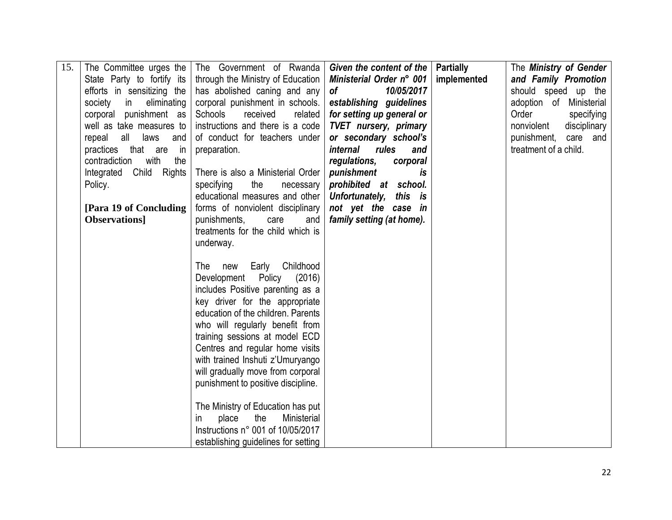|                              | The Government of Rwanda                                                                          |                                                                                                                                                                                                                                                                                                                                                                                                                                                                                                                                                                                                                                                                                                                                                              |                                                  | The Ministry of Gender                                                                       |
|------------------------------|---------------------------------------------------------------------------------------------------|--------------------------------------------------------------------------------------------------------------------------------------------------------------------------------------------------------------------------------------------------------------------------------------------------------------------------------------------------------------------------------------------------------------------------------------------------------------------------------------------------------------------------------------------------------------------------------------------------------------------------------------------------------------------------------------------------------------------------------------------------------------|--------------------------------------------------|----------------------------------------------------------------------------------------------|
|                              |                                                                                                   |                                                                                                                                                                                                                                                                                                                                                                                                                                                                                                                                                                                                                                                                                                                                                              |                                                  | and Family Promotion                                                                         |
| efforts in sensitizing the   | has abolished caning and any                                                                      | <b>of</b>                                                                                                                                                                                                                                                                                                                                                                                                                                                                                                                                                                                                                                                                                                                                                    |                                                  | should speed up the                                                                          |
| society<br>eliminating<br>in | corporal punishment in schools.                                                                   | establishing guidelines                                                                                                                                                                                                                                                                                                                                                                                                                                                                                                                                                                                                                                                                                                                                      |                                                  | adoption of Ministerial                                                                      |
| corporal punishment as       | Schools<br>received<br>related                                                                    | for setting up general or                                                                                                                                                                                                                                                                                                                                                                                                                                                                                                                                                                                                                                                                                                                                    |                                                  | Order<br>specifying                                                                          |
| well as take measures to     | instructions and there is a code                                                                  | <b>TVET</b> nursery, primary                                                                                                                                                                                                                                                                                                                                                                                                                                                                                                                                                                                                                                                                                                                                 |                                                  | nonviolent<br>disciplinary                                                                   |
| all laws<br>repeal<br>and    | of conduct for teachers under                                                                     | or secondary school's                                                                                                                                                                                                                                                                                                                                                                                                                                                                                                                                                                                                                                                                                                                                        |                                                  | punishment, care and                                                                         |
| practices that are<br>in in  | preparation.                                                                                      | <i>internal</i><br>rules<br>and                                                                                                                                                                                                                                                                                                                                                                                                                                                                                                                                                                                                                                                                                                                              |                                                  | treatment of a child.                                                                        |
| with<br>contradiction<br>the |                                                                                                   | regulations,<br>corporal                                                                                                                                                                                                                                                                                                                                                                                                                                                                                                                                                                                                                                                                                                                                     |                                                  |                                                                                              |
| Integrated Child<br>Rights   | There is also a Ministerial Order                                                                 | punishment<br>is                                                                                                                                                                                                                                                                                                                                                                                                                                                                                                                                                                                                                                                                                                                                             |                                                  |                                                                                              |
| Policy.                      | specifying<br>the<br>necessary                                                                    | prohibited at school.                                                                                                                                                                                                                                                                                                                                                                                                                                                                                                                                                                                                                                                                                                                                        |                                                  |                                                                                              |
|                              |                                                                                                   | Unfortunately,<br>this is                                                                                                                                                                                                                                                                                                                                                                                                                                                                                                                                                                                                                                                                                                                                    |                                                  |                                                                                              |
|                              |                                                                                                   |                                                                                                                                                                                                                                                                                                                                                                                                                                                                                                                                                                                                                                                                                                                                                              |                                                  |                                                                                              |
|                              |                                                                                                   |                                                                                                                                                                                                                                                                                                                                                                                                                                                                                                                                                                                                                                                                                                                                                              |                                                  |                                                                                              |
|                              |                                                                                                   |                                                                                                                                                                                                                                                                                                                                                                                                                                                                                                                                                                                                                                                                                                                                                              |                                                  |                                                                                              |
|                              |                                                                                                   |                                                                                                                                                                                                                                                                                                                                                                                                                                                                                                                                                                                                                                                                                                                                                              |                                                  |                                                                                              |
|                              |                                                                                                   |                                                                                                                                                                                                                                                                                                                                                                                                                                                                                                                                                                                                                                                                                                                                                              |                                                  |                                                                                              |
|                              |                                                                                                   |                                                                                                                                                                                                                                                                                                                                                                                                                                                                                                                                                                                                                                                                                                                                                              |                                                  |                                                                                              |
|                              |                                                                                                   |                                                                                                                                                                                                                                                                                                                                                                                                                                                                                                                                                                                                                                                                                                                                                              |                                                  |                                                                                              |
|                              |                                                                                                   |                                                                                                                                                                                                                                                                                                                                                                                                                                                                                                                                                                                                                                                                                                                                                              |                                                  |                                                                                              |
|                              |                                                                                                   |                                                                                                                                                                                                                                                                                                                                                                                                                                                                                                                                                                                                                                                                                                                                                              |                                                  |                                                                                              |
|                              |                                                                                                   |                                                                                                                                                                                                                                                                                                                                                                                                                                                                                                                                                                                                                                                                                                                                                              |                                                  |                                                                                              |
|                              |                                                                                                   |                                                                                                                                                                                                                                                                                                                                                                                                                                                                                                                                                                                                                                                                                                                                                              |                                                  |                                                                                              |
|                              |                                                                                                   |                                                                                                                                                                                                                                                                                                                                                                                                                                                                                                                                                                                                                                                                                                                                                              |                                                  |                                                                                              |
|                              |                                                                                                   |                                                                                                                                                                                                                                                                                                                                                                                                                                                                                                                                                                                                                                                                                                                                                              |                                                  |                                                                                              |
|                              |                                                                                                   |                                                                                                                                                                                                                                                                                                                                                                                                                                                                                                                                                                                                                                                                                                                                                              |                                                  |                                                                                              |
|                              |                                                                                                   |                                                                                                                                                                                                                                                                                                                                                                                                                                                                                                                                                                                                                                                                                                                                                              |                                                  |                                                                                              |
|                              |                                                                                                   |                                                                                                                                                                                                                                                                                                                                                                                                                                                                                                                                                                                                                                                                                                                                                              |                                                  |                                                                                              |
|                              |                                                                                                   |                                                                                                                                                                                                                                                                                                                                                                                                                                                                                                                                                                                                                                                                                                                                                              |                                                  |                                                                                              |
|                              |                                                                                                   |                                                                                                                                                                                                                                                                                                                                                                                                                                                                                                                                                                                                                                                                                                                                                              |                                                  |                                                                                              |
|                              |                                                                                                   |                                                                                                                                                                                                                                                                                                                                                                                                                                                                                                                                                                                                                                                                                                                                                              |                                                  |                                                                                              |
|                              |                                                                                                   |                                                                                                                                                                                                                                                                                                                                                                                                                                                                                                                                                                                                                                                                                                                                                              |                                                  |                                                                                              |
|                              | The Committee urges the<br>State Party to fortify its<br>[Para 19 of Concluding]<br>Observations] | through the Ministry of Education<br>educational measures and other<br>forms of nonviolent disciplinary<br>punishments,<br>and<br>care<br>treatments for the child which is<br>underway.<br>Early Childhood<br>The<br>new<br>Development Policy<br>(2016)<br>includes Positive parenting as a<br>key driver for the appropriate<br>education of the children. Parents<br>who will regularly benefit from<br>training sessions at model ECD<br>Centres and regular home visits<br>with trained Inshuti z'Umuryango<br>will gradually move from corporal<br>punishment to positive discipline.<br>The Ministry of Education has put<br>place<br>the<br>Ministerial<br>$\mathsf{I}$<br>Instructions n° 001 of 10/05/2017<br>establishing guidelines for setting | not yet the case in<br>family setting (at home). | Given the content of the   Partially<br>Ministerial Order n° 001   implemented<br>10/05/2017 |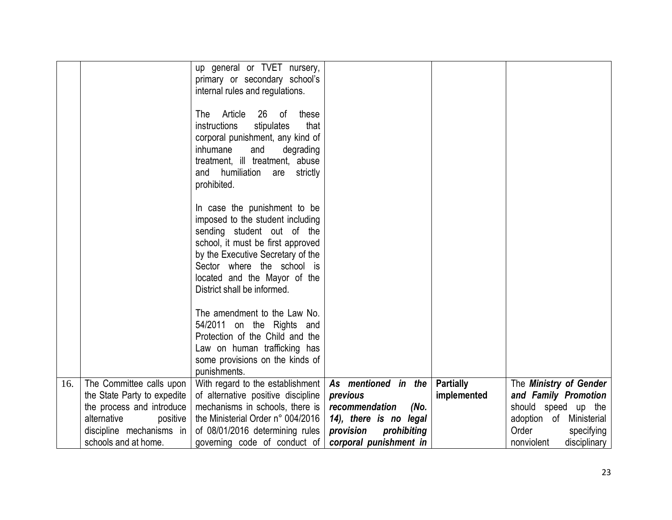|     |                             | up general or TVET nursery,               |                          |                  |                            |
|-----|-----------------------------|-------------------------------------------|--------------------------|------------------|----------------------------|
|     |                             | primary or secondary school's             |                          |                  |                            |
|     |                             | internal rules and regulations.           |                          |                  |                            |
|     |                             |                                           |                          |                  |                            |
|     |                             | Article<br>26<br>The<br>of<br>these       |                          |                  |                            |
|     |                             | <i>instructions</i><br>stipulates<br>that |                          |                  |                            |
|     |                             | corporal punishment, any kind of          |                          |                  |                            |
|     |                             | inhumane<br>and<br>degrading              |                          |                  |                            |
|     |                             | treatment, ill treatment, abuse           |                          |                  |                            |
|     |                             | and humiliation<br>are strictly           |                          |                  |                            |
|     |                             | prohibited.                               |                          |                  |                            |
|     |                             |                                           |                          |                  |                            |
|     |                             | In case the punishment to be              |                          |                  |                            |
|     |                             | imposed to the student including          |                          |                  |                            |
|     |                             | sending student out of the                |                          |                  |                            |
|     |                             | school, it must be first approved         |                          |                  |                            |
|     |                             | by the Executive Secretary of the         |                          |                  |                            |
|     |                             | Sector where the school is                |                          |                  |                            |
|     |                             | located and the Mayor of the              |                          |                  |                            |
|     |                             | District shall be informed.               |                          |                  |                            |
|     |                             |                                           |                          |                  |                            |
|     |                             | The amendment to the Law No.              |                          |                  |                            |
|     |                             | 54/2011 on the Rights and                 |                          |                  |                            |
|     |                             | Protection of the Child and the           |                          |                  |                            |
|     |                             | Law on human trafficking has              |                          |                  |                            |
|     |                             | some provisions on the kinds of           |                          |                  |                            |
|     |                             | punishments.                              |                          |                  |                            |
| 16. | The Committee calls upon    | With regard to the establishment          | As mentioned in the      | <b>Partially</b> | The Ministry of Gender     |
|     | the State Party to expedite | of alternative positive discipline        | previous                 | implemented      | and Family Promotion       |
|     | the process and introduce   | mechanisms in schools, there is           | recommendation<br>(No.   |                  | should speed up the        |
|     | alternative<br>positive     | the Ministerial Order n° 004/2016         | 14), there is no legal   |                  | adoption of Ministerial    |
|     | discipline mechanisms in    | of 08/01/2016 determining rules           | provision<br>prohibiting |                  | Order<br>specifying        |
|     | schools and at home.        | governing code of conduct of              | corporal punishment in   |                  | nonviolent<br>disciplinary |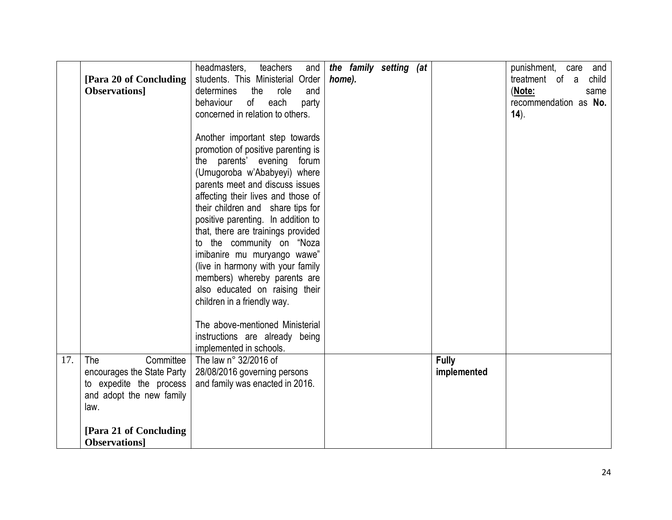|     | [Para 20 of Concluding]<br><b>Observations</b>                                                                                                                  | headmasters,<br>teachers<br>and<br>students. This Ministerial Order<br>determines<br>role<br>the<br>and<br>each<br>of<br>behaviour<br>party<br>concerned in relation to others.<br>Another important step towards<br>promotion of positive parenting is<br>the parents' evening<br>forum<br>(Umugoroba w'Ababyeyi) where<br>parents meet and discuss issues<br>affecting their lives and those of<br>their children and share tips for<br>positive parenting. In addition to<br>that, there are trainings provided<br>to the community on "Noza | the family setting (at<br>home). |                             | punishment,<br>and<br>care<br>treatment of a<br>child<br>(Note:<br>same<br>recommendation as No.<br>$(14)$ . |
|-----|-----------------------------------------------------------------------------------------------------------------------------------------------------------------|-------------------------------------------------------------------------------------------------------------------------------------------------------------------------------------------------------------------------------------------------------------------------------------------------------------------------------------------------------------------------------------------------------------------------------------------------------------------------------------------------------------------------------------------------|----------------------------------|-----------------------------|--------------------------------------------------------------------------------------------------------------|
|     |                                                                                                                                                                 | imibanire mu muryango wawe"<br>(live in harmony with your family<br>members) whereby parents are<br>also educated on raising their<br>children in a friendly way.<br>The above-mentioned Ministerial<br>instructions are already being<br>implemented in schools.                                                                                                                                                                                                                                                                               |                                  |                             |                                                                                                              |
| 17. | Committee<br>The<br>encourages the State Party<br>to expedite the process<br>and adopt the new family<br>law.<br>[Para 21 of Concluding]<br><b>Observations</b> | The law n° 32/2016 of<br>28/08/2016 governing persons<br>and family was enacted in 2016.                                                                                                                                                                                                                                                                                                                                                                                                                                                        |                                  | <b>Fully</b><br>implemented |                                                                                                              |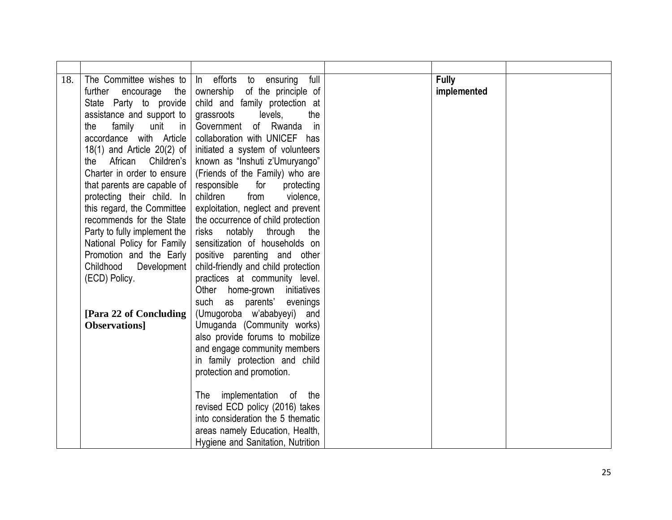| 18. | The Committee wishes to<br>further<br>encourage<br>the | In efforts to ensuring<br>full<br>ownership of the principle of      | <b>Fully</b><br>implemented |  |
|-----|--------------------------------------------------------|----------------------------------------------------------------------|-----------------------------|--|
|     | State Party to provide                                 | child and family protection at                                       |                             |  |
|     | assistance and support to                              | grassroots<br>levels,<br>the                                         |                             |  |
|     | family unit in<br>the                                  | Government of Rwanda in                                              |                             |  |
|     | accordance with Article                                | collaboration with UNICEF has                                        |                             |  |
|     | $18(1)$ and Article $20(2)$ of                         | initiated a system of volunteers                                     |                             |  |
|     | African Children's<br>the                              | known as "Inshuti z'Umuryango"                                       |                             |  |
|     | Charter in order to ensure                             | (Friends of the Family) who are                                      |                             |  |
|     | that parents are capable of                            | responsible<br>for<br>protecting                                     |                             |  |
|     | protecting their child. In                             | children<br>from<br>violence,                                        |                             |  |
|     | this regard, the Committee                             | exploitation, neglect and prevent                                    |                             |  |
|     | recommends for the State                               | the occurrence of child protection                                   |                             |  |
|     | Party to fully implement the                           | risks notably through<br>the                                         |                             |  |
|     | National Policy for Family                             | sensitization of households on                                       |                             |  |
|     | Promotion and the Early                                | positive parenting and other                                         |                             |  |
|     | Childhood Development<br>(ECD) Policy.                 | child-friendly and child protection<br>practices at community level. |                             |  |
|     |                                                        | Other home-grown initiatives                                         |                             |  |
|     |                                                        | such as parents' evenings                                            |                             |  |
|     | [Para 22 of Concluding]                                | (Umugoroba w'ababyeyi) and                                           |                             |  |
|     | Observations]                                          | Umuganda (Community works)                                           |                             |  |
|     |                                                        | also provide forums to mobilize                                      |                             |  |
|     |                                                        | and engage community members                                         |                             |  |
|     |                                                        | in family protection and child                                       |                             |  |
|     |                                                        | protection and promotion.                                            |                             |  |
|     |                                                        |                                                                      |                             |  |
|     |                                                        | implementation of the<br>The                                         |                             |  |
|     |                                                        | revised ECD policy (2016) takes                                      |                             |  |
|     |                                                        | into consideration the 5 thematic                                    |                             |  |
|     |                                                        | areas namely Education, Health,                                      |                             |  |
|     |                                                        | Hygiene and Sanitation, Nutrition                                    |                             |  |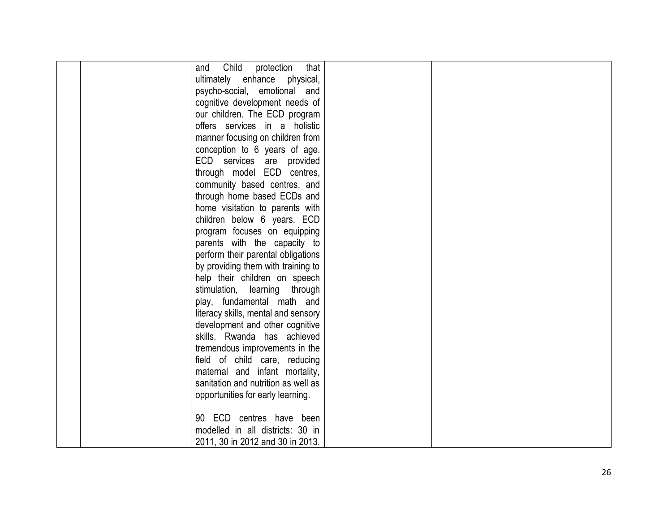| Child<br>that<br>protection<br>and  |  |
|-------------------------------------|--|
| ultimately enhance physical,        |  |
| psycho-social, emotional and        |  |
| cognitive development needs of      |  |
| our children. The ECD program       |  |
| offers services in a holistic       |  |
| manner focusing on children from    |  |
| conception to 6 years of age.       |  |
| ECD services are provided           |  |
| through model ECD centres,          |  |
| community based centres, and        |  |
| through home based ECDs and         |  |
| home visitation to parents with     |  |
| children below 6 years. ECD         |  |
| program focuses on equipping        |  |
| parents with the capacity to        |  |
| perform their parental obligations  |  |
| by providing them with training to  |  |
| help their children on speech       |  |
| stimulation, learning through       |  |
| play, fundamental math and          |  |
| literacy skills, mental and sensory |  |
| development and other cognitive     |  |
| skills. Rwanda has achieved         |  |
| tremendous improvements in the      |  |
| field of child care, reducing       |  |
| maternal and infant mortality,      |  |
| sanitation and nutrition as well as |  |
| opportunities for early learning.   |  |
|                                     |  |
| 90 ECD centres have been            |  |
| modelled in all districts: 30 in    |  |
| 2011, 30 in 2012 and 30 in 2013.    |  |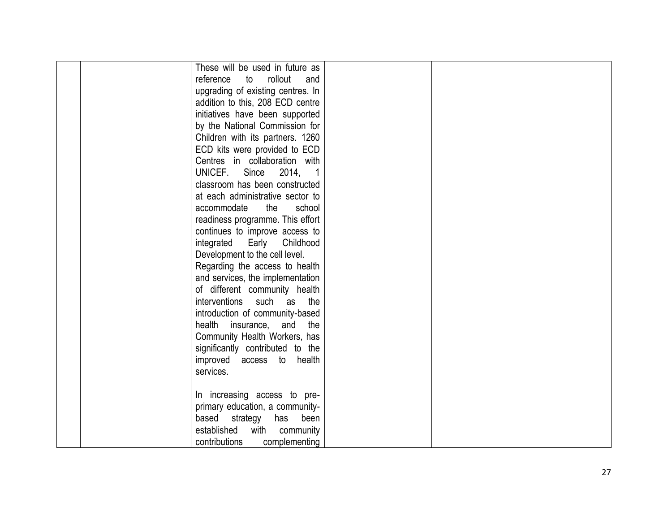| These will be used in future as        |  |
|----------------------------------------|--|
| reference<br>rollout<br>to<br>and      |  |
| upgrading of existing centres. In      |  |
| addition to this, 208 ECD centre       |  |
| initiatives have been supported        |  |
| by the National Commission for         |  |
| Children with its partners. 1260       |  |
| ECD kits were provided to ECD          |  |
| Centres in collaboration with          |  |
| UNICEF.<br>Since<br>2014,              |  |
| classroom has been constructed         |  |
| at each administrative sector to       |  |
| accommodate<br>the<br>school           |  |
| readiness programme. This effort       |  |
| continues to improve access to         |  |
| integrated<br>Early<br>Childhood       |  |
| Development to the cell level.         |  |
| Regarding the access to health         |  |
| and services, the implementation       |  |
| of different community health          |  |
| <i>interventions</i><br>such as<br>the |  |
| introduction of community-based        |  |
| health insurance, and<br>the           |  |
| Community Health Workers, has          |  |
| significantly contributed to the       |  |
| improved access to health              |  |
| services.                              |  |
|                                        |  |
| In increasing access to pre-           |  |
| primary education, a community-        |  |
| based strategy<br>has<br>been          |  |
| established<br>with<br>community       |  |
| contributions<br>complementing         |  |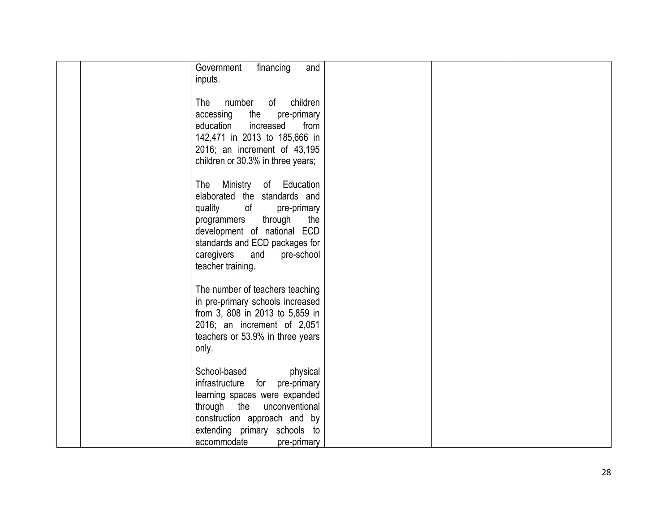| financing<br>Government<br>and<br>inputs.                                                                                                                                                                                                                 |  |  |
|-----------------------------------------------------------------------------------------------------------------------------------------------------------------------------------------------------------------------------------------------------------|--|--|
| number<br>of<br>children<br>The<br>the<br>pre-primary<br>accessing<br>from<br>education<br>increased<br>142,471 in 2013 to 185,666 in<br>2016; an increment of 43,195                                                                                     |  |  |
| children or 30.3% in three years;                                                                                                                                                                                                                         |  |  |
| Ministry<br>The<br>of Education<br>elaborated the standards and<br>quality<br>of<br>pre-primary<br>through<br>the<br>programmers<br>development of national ECD<br>standards and ECD packages for<br>caregivers<br>and<br>pre-school<br>teacher training. |  |  |
| The number of teachers teaching<br>in pre-primary schools increased<br>from 3, 808 in 2013 to 5,859 in<br>2016; an increment of 2,051<br>teachers or 53.9% in three years<br>only.                                                                        |  |  |
| School-based<br>physical<br>infrastructure<br>for<br>pre-primary<br>learning spaces were expanded<br>through the<br>unconventional<br>construction approach and by<br>extending primary schools to<br>accommodate<br>pre-primary                          |  |  |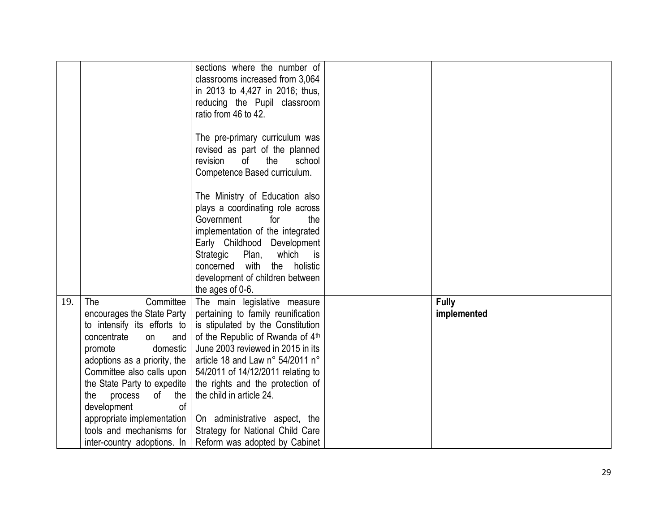|     |                                                                                                                                                                                                                                                                                                                  | sections where the number of<br>classrooms increased from 3,064<br>in 2013 to 4,427 in 2016; thus,<br>reducing the Pupil classroom<br>ratio from 46 to 42.<br>The pre-primary curriculum was<br>revised as part of the planned<br>revision<br>of<br>the<br>school<br>Competence Based curriculum.<br>The Ministry of Education also<br>plays a coordinating role across<br>Government<br>for<br>the<br>implementation of the integrated<br>Early Childhood Development<br>Strategic Plan, which is<br>concerned with the holistic<br>development of children between |                             |  |
|-----|------------------------------------------------------------------------------------------------------------------------------------------------------------------------------------------------------------------------------------------------------------------------------------------------------------------|----------------------------------------------------------------------------------------------------------------------------------------------------------------------------------------------------------------------------------------------------------------------------------------------------------------------------------------------------------------------------------------------------------------------------------------------------------------------------------------------------------------------------------------------------------------------|-----------------------------|--|
| 19. | Committee<br>The<br>encourages the State Party<br>to intensify its efforts to<br>concentrate<br>on<br>and<br>promote<br>domestic<br>adoptions as a priority, the<br>Committee also calls upon<br>the State Party to expedite<br>the process of the<br><sub>of</sub><br>development<br>appropriate implementation | the ages of 0-6.<br>The main legislative measure<br>pertaining to family reunification<br>is stipulated by the Constitution<br>of the Republic of Rwanda of 4th<br>June 2003 reviewed in 2015 in its<br>article 18 and Law n° 54/2011 n°<br>54/2011 of 14/12/2011 relating to<br>the rights and the protection of<br>the child in article 24.<br>On administrative aspect, the                                                                                                                                                                                       | <b>Fully</b><br>implemented |  |
|     | tools and mechanisms for<br>inter-country adoptions. In                                                                                                                                                                                                                                                          | Strategy for National Child Care<br>Reform was adopted by Cabinet                                                                                                                                                                                                                                                                                                                                                                                                                                                                                                    |                             |  |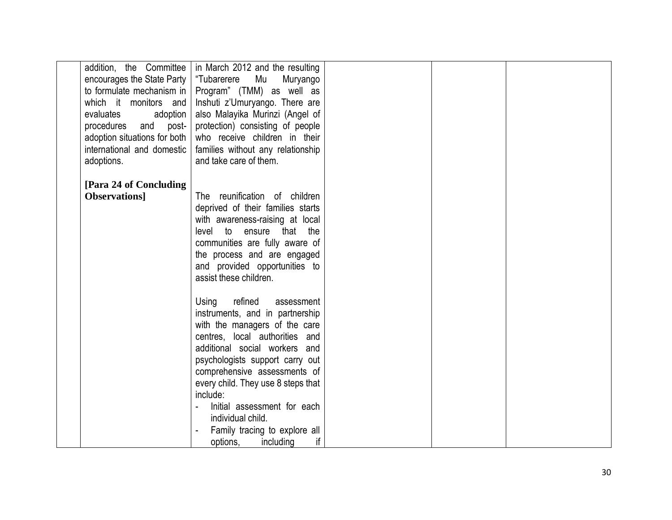|                                             | addition, the Committee $\vert$ in March 2012 and the resulting |  |  |
|---------------------------------------------|-----------------------------------------------------------------|--|--|
| encourages the State Party   "Tubarerere Mu | Muryango                                                        |  |  |
|                                             | to formulate mechanism in $ $ Program" (TMM) as well as         |  |  |
| which it monitors and                       | Inshuti z'Umuryango. There are                                  |  |  |
| evaluates<br>adoption                       | also Malayika Murinzi (Angel of                                 |  |  |
| post-<br>procedures<br>and                  | protection) consisting of people                                |  |  |
| adoption situations for both                | who receive children in their                                   |  |  |
| international and domestic                  | families without any relationship                               |  |  |
| adoptions.                                  | and take care of them.                                          |  |  |
|                                             |                                                                 |  |  |
| [Para 24 of Concluding]                     |                                                                 |  |  |
| <b>Observations</b>                         | The reunification of children                                   |  |  |
|                                             | deprived of their families starts                               |  |  |
|                                             |                                                                 |  |  |
|                                             | with awareness-raising at local                                 |  |  |
|                                             | level to ensure that the                                        |  |  |
|                                             | communities are fully aware of                                  |  |  |
|                                             | the process and are engaged                                     |  |  |
|                                             | and provided opportunities to                                   |  |  |
|                                             | assist these children.                                          |  |  |
|                                             |                                                                 |  |  |
|                                             | refined<br>Using<br>assessment                                  |  |  |
|                                             | instruments, and in partnership                                 |  |  |
|                                             | with the managers of the care                                   |  |  |
|                                             | centres, local authorities and                                  |  |  |
|                                             | additional social workers and                                   |  |  |
|                                             | psychologists support carry out                                 |  |  |
|                                             | comprehensive assessments of                                    |  |  |
|                                             | every child. They use 8 steps that                              |  |  |
|                                             | include:                                                        |  |  |
|                                             | Initial assessment for each                                     |  |  |
|                                             | individual child.                                               |  |  |
|                                             |                                                                 |  |  |
|                                             | Family tracing to explore all                                   |  |  |
|                                             | if<br>options,<br>including                                     |  |  |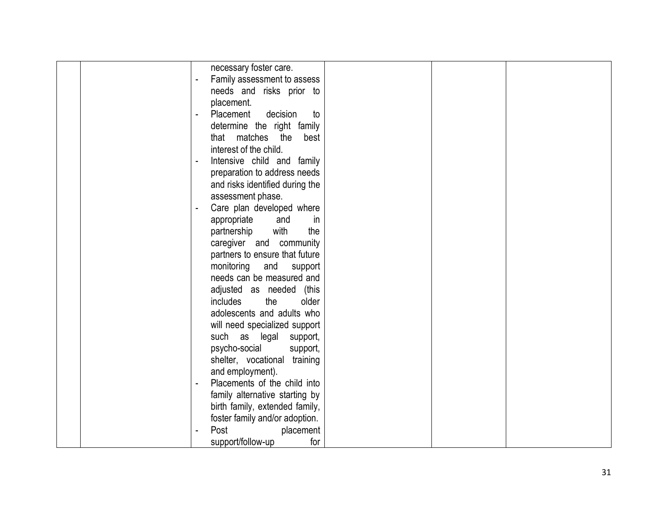| necessary foster care.                                  |  |
|---------------------------------------------------------|--|
| Family assessment to assess                             |  |
| needs and risks prior to                                |  |
| placement.                                              |  |
| Placement<br>decision<br>to<br>$\overline{\phantom{a}}$ |  |
| determine the right family                              |  |
| that matches the<br>best                                |  |
| interest of the child.                                  |  |
| Intensive child and family                              |  |
| preparation to address needs                            |  |
| and risks identified during the                         |  |
| assessment phase.                                       |  |
| Care plan developed where                               |  |
| appropriate<br>and<br>in                                |  |
| with<br>the                                             |  |
| partnership                                             |  |
| caregiver and community                                 |  |
| partners to ensure that future                          |  |
| monitoring<br>and<br>support                            |  |
| needs can be measured and                               |  |
| adjusted as needed (this                                |  |
| the<br><i>includes</i><br>older                         |  |
| adolescents and adults who                              |  |
| will need specialized support                           |  |
| such as legal support,                                  |  |
| psycho-social<br>support,                               |  |
| shelter, vocational training                            |  |
| and employment).                                        |  |
| Placements of the child into                            |  |
| family alternative starting by                          |  |
| birth family, extended family,                          |  |
| foster family and/or adoption.                          |  |
| Post<br>placement                                       |  |
| support/follow-up<br>for                                |  |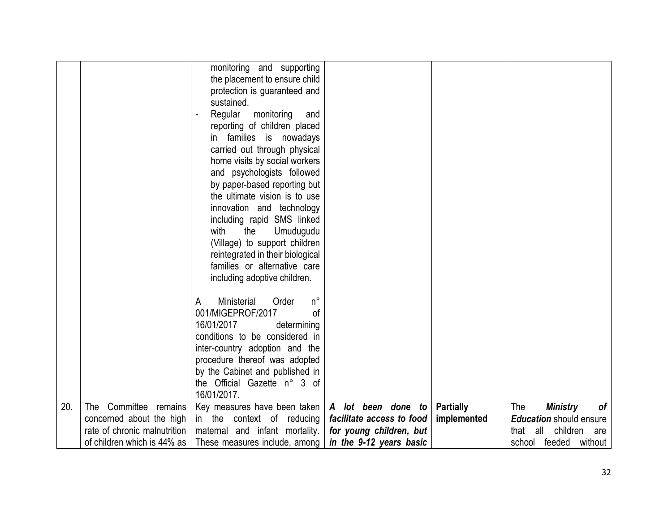|     |                              | monitoring and supporting<br>the placement to ensure child<br>protection is guaranteed and<br>sustained.<br>Regular<br>monitoring<br>and<br>reporting of children placed<br>in families is nowadays<br>carried out through physical<br>home visits by social workers<br>and psychologists followed<br>by paper-based reporting but<br>the ultimate vision is to use<br>innovation and technology<br>including rapid SMS linked<br>with<br>the<br>Umudugudu<br>(Village) to support children<br>reintegrated in their biological<br>families or alternative care<br>including adoptive children.<br>Ministerial<br>$n^{\circ}$<br>Order<br>A<br>001/MIGEPROF/2017<br>οf<br>16/01/2017<br>determining<br>conditions to be considered in |                           |                  |                                     |
|-----|------------------------------|---------------------------------------------------------------------------------------------------------------------------------------------------------------------------------------------------------------------------------------------------------------------------------------------------------------------------------------------------------------------------------------------------------------------------------------------------------------------------------------------------------------------------------------------------------------------------------------------------------------------------------------------------------------------------------------------------------------------------------------|---------------------------|------------------|-------------------------------------|
|     |                              | inter-country adoption and the<br>procedure thereof was adopted                                                                                                                                                                                                                                                                                                                                                                                                                                                                                                                                                                                                                                                                       |                           |                  |                                     |
|     |                              | by the Cabinet and published in                                                                                                                                                                                                                                                                                                                                                                                                                                                                                                                                                                                                                                                                                                       |                           |                  |                                     |
|     |                              | the Official Gazette n° 3 of                                                                                                                                                                                                                                                                                                                                                                                                                                                                                                                                                                                                                                                                                                          |                           |                  |                                     |
|     |                              | 16/01/2017.                                                                                                                                                                                                                                                                                                                                                                                                                                                                                                                                                                                                                                                                                                                           |                           |                  |                                     |
| 20. | Committee remains<br>The     | Key measures have been taken                                                                                                                                                                                                                                                                                                                                                                                                                                                                                                                                                                                                                                                                                                          | A lot been done to        | <b>Partially</b> | The<br><b>Ministry</b><br><b>of</b> |
|     | concerned about the high     | in the context of reducing                                                                                                                                                                                                                                                                                                                                                                                                                                                                                                                                                                                                                                                                                                            | facilitate access to food | implemented      | <b>Education</b> should ensure      |
|     | rate of chronic malnutrition | maternal and infant mortality.                                                                                                                                                                                                                                                                                                                                                                                                                                                                                                                                                                                                                                                                                                        | for young children, but   |                  | children<br>that<br>all<br>are      |
|     | of children which is 44% as  | These measures include, among                                                                                                                                                                                                                                                                                                                                                                                                                                                                                                                                                                                                                                                                                                         | in the 9-12 years basic   |                  | school feeded without               |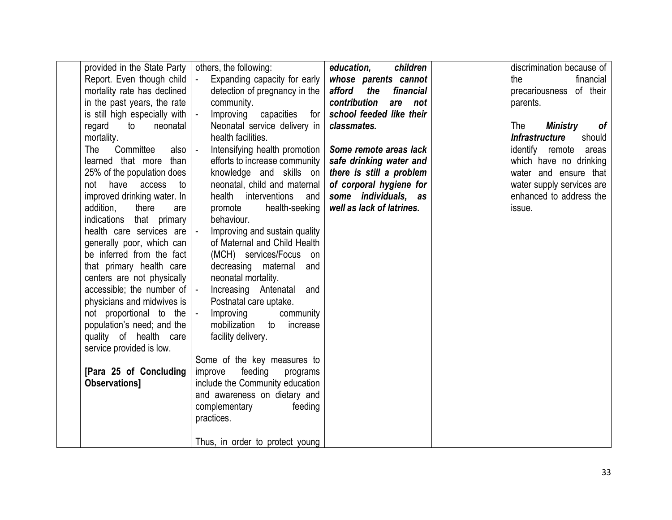| provided in the State Party<br>Report. Even though child<br>mortality rate has declined<br>in the past years, the rate<br>is still high especially with $\vert$ -<br>regard<br>to<br>neonatal<br>mortality.<br>Committee<br>The<br>also $\vert$ -<br>learned that more<br>than<br>25% of the population does<br>have<br>not<br>access<br>to<br>improved drinking water. In<br>addition,<br>there<br>are<br>indications that primary<br>health care services are  - | others, the following:<br>Expanding capacity for early<br>$\vert$ =<br>detection of pregnancy in the<br>community.<br>Improving capacities for<br>Neonatal service delivery in<br>health facilities.<br>Intensifying health promotion<br>efforts to increase community<br>knowledge and skills on<br>neonatal, child and maternal<br>health interventions<br>and<br>health-seeking<br>promote<br>behaviour.<br>Improving and sustain quality | children<br>education,<br>whose parents cannot<br>the<br>afford<br>financial<br>contribution<br>are<br>not<br>school feeded like their<br>classmates.<br>Some remote areas lack<br>safe drinking water and<br>there is still a problem<br>of corporal hygiene for<br>some individuals, as<br>well as lack of latrines. | discrimination because of<br>the<br>financial<br>of their<br>precariousness<br>parents.<br>The<br>Ministry<br>of<br><b>Infrastructure</b><br>should<br>identify remote areas<br>which have no drinking<br>water and ensure that<br>water supply services are<br>enhanced to address the<br>issue. |
|--------------------------------------------------------------------------------------------------------------------------------------------------------------------------------------------------------------------------------------------------------------------------------------------------------------------------------------------------------------------------------------------------------------------------------------------------------------------|----------------------------------------------------------------------------------------------------------------------------------------------------------------------------------------------------------------------------------------------------------------------------------------------------------------------------------------------------------------------------------------------------------------------------------------------|------------------------------------------------------------------------------------------------------------------------------------------------------------------------------------------------------------------------------------------------------------------------------------------------------------------------|---------------------------------------------------------------------------------------------------------------------------------------------------------------------------------------------------------------------------------------------------------------------------------------------------|
| generally poor, which can<br>be inferred from the fact<br>that primary health care                                                                                                                                                                                                                                                                                                                                                                                 | of Maternal and Child Health<br>(MCH) services/Focus on<br>decreasing maternal<br>and                                                                                                                                                                                                                                                                                                                                                        |                                                                                                                                                                                                                                                                                                                        |                                                                                                                                                                                                                                                                                                   |
| centers are not physically<br>accessible; the number of $\vert$ -<br>physicians and midwives is                                                                                                                                                                                                                                                                                                                                                                    | neonatal mortality.<br>Increasing Antenatal and<br>Postnatal care uptake.                                                                                                                                                                                                                                                                                                                                                                    |                                                                                                                                                                                                                                                                                                                        |                                                                                                                                                                                                                                                                                                   |
| not proportional to the  -<br>population's need; and the                                                                                                                                                                                                                                                                                                                                                                                                           | Improving<br>community<br>mobilization to increase                                                                                                                                                                                                                                                                                                                                                                                           |                                                                                                                                                                                                                                                                                                                        |                                                                                                                                                                                                                                                                                                   |
| quality of health care<br>service provided is low.                                                                                                                                                                                                                                                                                                                                                                                                                 | facility delivery.                                                                                                                                                                                                                                                                                                                                                                                                                           |                                                                                                                                                                                                                                                                                                                        |                                                                                                                                                                                                                                                                                                   |
| [Para 25 of Concluding<br>Observations]                                                                                                                                                                                                                                                                                                                                                                                                                            | Some of the key measures to<br>feeding<br>improve<br>programs<br>include the Community education                                                                                                                                                                                                                                                                                                                                             |                                                                                                                                                                                                                                                                                                                        |                                                                                                                                                                                                                                                                                                   |
|                                                                                                                                                                                                                                                                                                                                                                                                                                                                    | and awareness on dietary and<br>complementary<br>feeding<br>practices.                                                                                                                                                                                                                                                                                                                                                                       |                                                                                                                                                                                                                                                                                                                        |                                                                                                                                                                                                                                                                                                   |
|                                                                                                                                                                                                                                                                                                                                                                                                                                                                    | Thus, in order to protect young                                                                                                                                                                                                                                                                                                                                                                                                              |                                                                                                                                                                                                                                                                                                                        |                                                                                                                                                                                                                                                                                                   |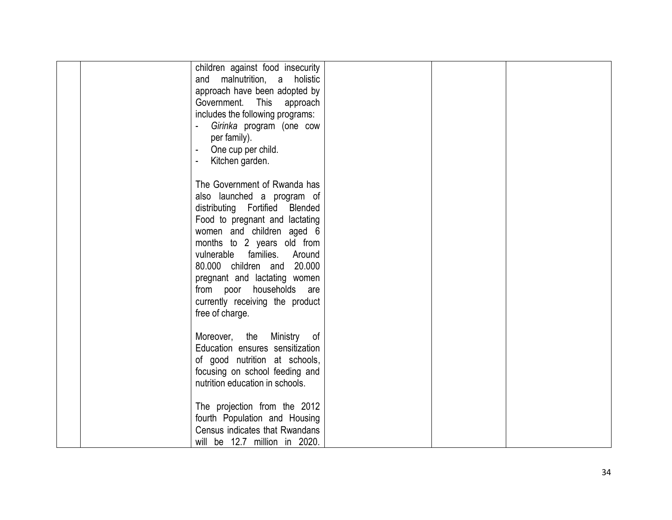| children against food insecurity<br>and malnutrition, a holistic<br>approach have been adopted by<br>Government.<br>This<br>approach<br>includes the following programs:<br>Girinka program (one cow<br>per family).<br>One cup per child.<br>Kitchen garden.                                                                                                                        |  |
|--------------------------------------------------------------------------------------------------------------------------------------------------------------------------------------------------------------------------------------------------------------------------------------------------------------------------------------------------------------------------------------|--|
| The Government of Rwanda has<br>also launched a program of<br>distributing Fortified Blended<br>Food to pregnant and lactating<br>women and children aged 6<br>months to 2 years old from<br>vulnerable families.<br>Around<br>80.000 children and 20.000<br>pregnant and lactating women<br>households<br>from<br>poor<br>are<br>currently receiving the product<br>free of charge. |  |
| Moreover, the Ministry<br>of<br>Education ensures sensitization<br>of good nutrition at schools,<br>focusing on school feeding and<br>nutrition education in schools.                                                                                                                                                                                                                |  |
| The projection from the 2012<br>fourth Population and Housing<br>Census indicates that Rwandans<br>will be 12.7 million in 2020.                                                                                                                                                                                                                                                     |  |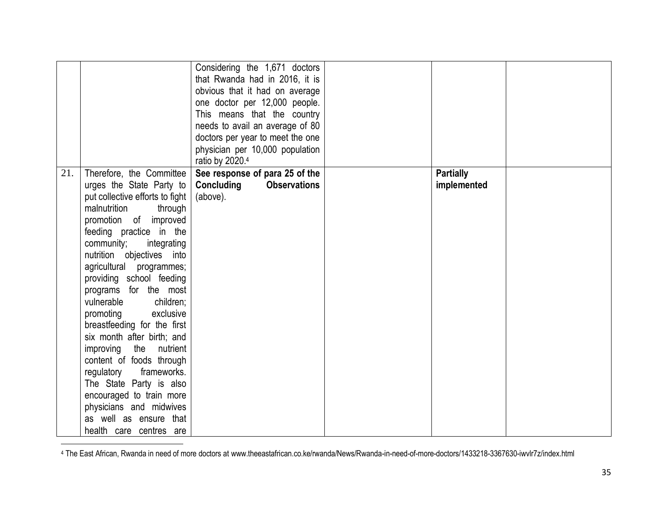|     |                                                                                                                                                                                                                                                                                                                                                                                                                                                                                                                                                                                  | Considering the 1,671 doctors<br>that Rwanda had in 2016, it is<br>obvious that it had on average<br>one doctor per 12,000 people.<br>This means that the country<br>needs to avail an average of 80<br>doctors per year to meet the one<br>physician per 10,000 population<br>ratio by 2020.4 |                                 |  |
|-----|----------------------------------------------------------------------------------------------------------------------------------------------------------------------------------------------------------------------------------------------------------------------------------------------------------------------------------------------------------------------------------------------------------------------------------------------------------------------------------------------------------------------------------------------------------------------------------|------------------------------------------------------------------------------------------------------------------------------------------------------------------------------------------------------------------------------------------------------------------------------------------------|---------------------------------|--|
| 21. | Therefore, the Committee<br>urges the State Party to<br>put collective efforts to fight<br>through<br>malnutrition<br>promotion of improved<br>feeding practice in the<br>community;<br>integrating<br>nutrition objectives into<br>agricultural programmes;<br>providing school feeding<br>programs for the most<br>vulnerable<br>children;<br>promoting<br>exclusive<br>breastfeeding for the first<br>six month after birth; and<br>improving<br>the nutrient<br>content of foods through<br>regulatory<br>frameworks.<br>The State Party is also<br>encouraged to train more | See response of para 25 of the<br>Concluding<br><b>Observations</b><br>(above).                                                                                                                                                                                                                | <b>Partially</b><br>implemented |  |
|     | physicians and midwives<br>as well as ensure that<br>health care centres are                                                                                                                                                                                                                                                                                                                                                                                                                                                                                                     |                                                                                                                                                                                                                                                                                                |                                 |  |

<sup>4</sup> The East African, Rwanda in need of more doctors at www.theeastafrican.co.ke/rwanda/News/Rwanda-in-need-of-more-doctors/1433218-3367630-iwvlr7z/index.html

 $\overline{\phantom{a}}$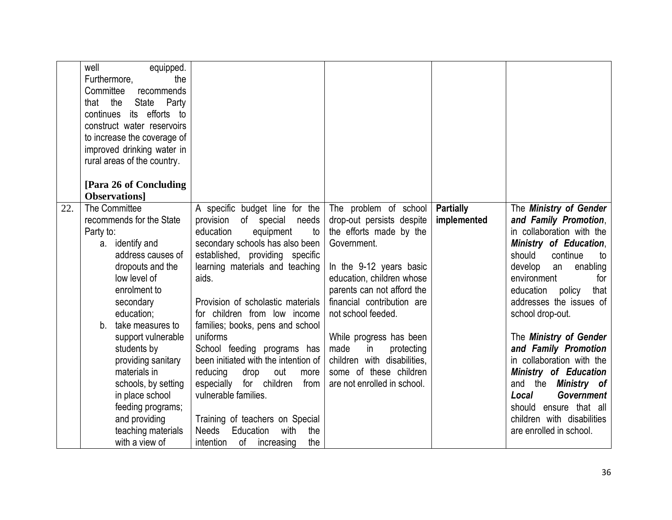|     | well<br>equipped.<br>Furthermore,<br>the<br>Committee<br>recommends<br>the<br>State<br>Party<br>that<br>its efforts to<br>continues<br>construct water reservoirs<br>to increase the coverage of<br>improved drinking water in<br>rural areas of the country.                                                                                                                                              |                                                                                                                                                                                                                                                                                                                                                                                                                                                                                                                                                                                                                                          |                                                                                                                                                                                                                                                                                                                                                                                       |                                 |                                                                                                                                                                                                                                                                                                                                                                                                                                                                                                                        |
|-----|------------------------------------------------------------------------------------------------------------------------------------------------------------------------------------------------------------------------------------------------------------------------------------------------------------------------------------------------------------------------------------------------------------|------------------------------------------------------------------------------------------------------------------------------------------------------------------------------------------------------------------------------------------------------------------------------------------------------------------------------------------------------------------------------------------------------------------------------------------------------------------------------------------------------------------------------------------------------------------------------------------------------------------------------------------|---------------------------------------------------------------------------------------------------------------------------------------------------------------------------------------------------------------------------------------------------------------------------------------------------------------------------------------------------------------------------------------|---------------------------------|------------------------------------------------------------------------------------------------------------------------------------------------------------------------------------------------------------------------------------------------------------------------------------------------------------------------------------------------------------------------------------------------------------------------------------------------------------------------------------------------------------------------|
|     | [Para 26 of Concluding                                                                                                                                                                                                                                                                                                                                                                                     |                                                                                                                                                                                                                                                                                                                                                                                                                                                                                                                                                                                                                                          |                                                                                                                                                                                                                                                                                                                                                                                       |                                 |                                                                                                                                                                                                                                                                                                                                                                                                                                                                                                                        |
|     | <b>Observations</b>                                                                                                                                                                                                                                                                                                                                                                                        |                                                                                                                                                                                                                                                                                                                                                                                                                                                                                                                                                                                                                                          |                                                                                                                                                                                                                                                                                                                                                                                       |                                 |                                                                                                                                                                                                                                                                                                                                                                                                                                                                                                                        |
| 22. | The Committee<br>recommends for the State<br>Party to:<br>a. identify and<br>address causes of<br>dropouts and the<br>low level of<br>enrolment to<br>secondary<br>education;<br>take measures to<br>b.<br>support vulnerable<br>students by<br>providing sanitary<br>materials in<br>schools, by setting<br>in place school<br>feeding programs;<br>and providing<br>teaching materials<br>with a view of | A specific budget line for the<br>of special<br>provision<br>needs<br>education<br>to<br>equipment<br>secondary schools has also been<br>established, providing specific<br>learning materials and teaching<br>aids.<br>Provision of scholastic materials<br>for children from low income<br>families; books, pens and school<br>uniforms<br>School feeding programs has<br>been initiated with the intention of<br>reducing<br>out<br>drop<br>more<br>especially<br>for children<br>from<br>vulnerable families.<br>Training of teachers on Special<br><b>Needs</b><br>Education<br>with<br>the<br>intention<br>of<br>the<br>increasing | The problem of school<br>drop-out persists despite<br>the efforts made by the<br>Government.<br>In the 9-12 years basic<br>education, children whose<br>parents can not afford the<br>financial contribution are<br>not school feeded.<br>While progress has been<br>made<br>in<br>protecting<br>children with disabilities,<br>some of these children<br>are not enrolled in school. | <b>Partially</b><br>implemented | The Ministry of Gender<br>and Family Promotion,<br>in collaboration with the<br>Ministry of Education,<br>should<br>continue<br>to<br>enabling<br>develop<br>an<br>environment<br>for<br>education<br>policy<br>that<br>addresses the issues of<br>school drop-out.<br>The Ministry of Gender<br>and Family Promotion<br>in collaboration with the<br>Ministry of Education<br>and the <b>Ministry</b> of<br>Local<br>Government<br>ensure that all<br>should<br>children with disabilities<br>are enrolled in school. |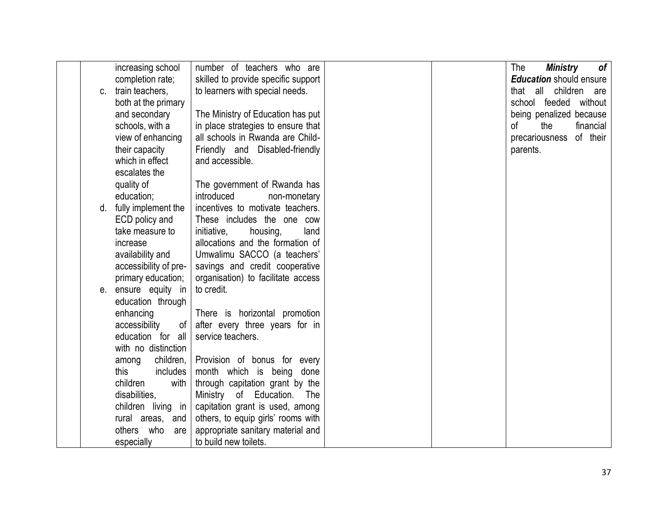|    | increasing school     | number of teachers who are          |  | The<br>Ministry<br>of          |
|----|-----------------------|-------------------------------------|--|--------------------------------|
|    | completion rate;      | skilled to provide specific support |  | <b>Education</b> should ensure |
| C. | train teachers,       | to learners with special needs.     |  | all<br>children<br>that<br>are |
|    | both at the primary   |                                     |  | school feeded without          |
|    | and secondary         | The Ministry of Education has put   |  | being penalized because        |
|    | schools, with a       | in place strategies to ensure that  |  | of<br>the<br>financial         |
|    | view of enhancing     | all schools in Rwanda are Child-    |  | of their<br>precariousness     |
|    | their capacity        | Friendly and Disabled-friendly      |  | parents.                       |
|    | which in effect       | and accessible.                     |  |                                |
|    | escalates the         |                                     |  |                                |
|    | quality of            | The government of Rwanda has        |  |                                |
|    | education;            | introduced<br>non-monetary          |  |                                |
| d. | fully implement the   | incentives to motivate teachers.    |  |                                |
|    | ECD policy and        | These includes the one cow          |  |                                |
|    | take measure to       | initiative,<br>housing,<br>land     |  |                                |
|    | increase              | allocations and the formation of    |  |                                |
|    | availability and      | Umwalimu SACCO (a teachers'         |  |                                |
|    | accessibility of pre- | savings and credit cooperative      |  |                                |
|    | primary education;    | organisation) to facilitate access  |  |                                |
| е. | ensure equity in      | to credit.                          |  |                                |
|    | education through     |                                     |  |                                |
|    | enhancing             | There is horizontal promotion       |  |                                |
|    | accessibility<br>of   | after every three years for in      |  |                                |
|    | education for all     | service teachers.                   |  |                                |
|    | with no distinction   |                                     |  |                                |
|    | children,<br>among    | Provision of bonus for every        |  |                                |
|    | this<br>includes      | month which is being<br>done        |  |                                |
|    | children<br>with      | through capitation grant by the     |  |                                |
|    | disabilities,         | Ministry of Education. The          |  |                                |
|    | children living in    | capitation grant is used, among     |  |                                |
|    | rural areas, and      | others, to equip girls' rooms with  |  |                                |
|    | others who<br>are     | appropriate sanitary material and   |  |                                |
|    | especially            | to build new toilets.               |  |                                |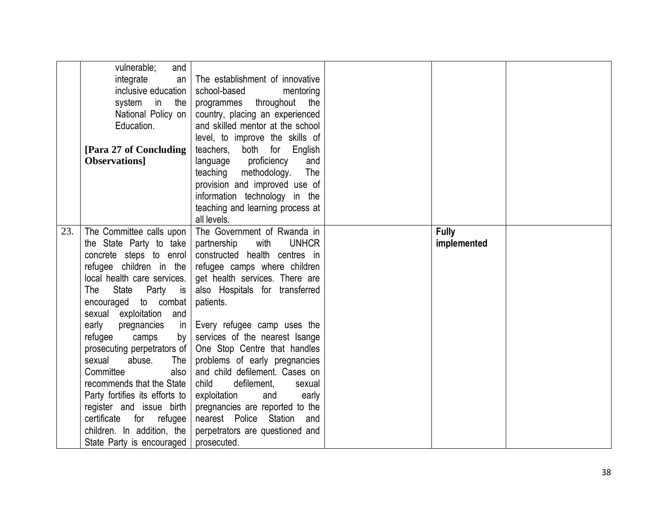|     | vulnerable;<br>and             |                                     |              |  |
|-----|--------------------------------|-------------------------------------|--------------|--|
|     | integrate<br>an                | The establishment of innovative     |              |  |
|     | inclusive education            | school-based<br>mentoring           |              |  |
|     | system<br>in<br>the            | throughout<br>programmes<br>the     |              |  |
|     | National Policy on             | country, placing an experienced     |              |  |
|     | Education.                     | and skilled mentor at the school    |              |  |
|     |                                | level, to improve the skills of     |              |  |
|     | [Para 27 of Concluding]        | teachers, both for English          |              |  |
|     | <b>Observations</b>            | language proficiency<br>and         |              |  |
|     |                                | teaching methodology.<br>The        |              |  |
|     |                                | provision and improved use of       |              |  |
|     |                                | information technology in the       |              |  |
|     |                                | teaching and learning process at    |              |  |
|     |                                | all levels.                         |              |  |
| 23. | The Committee calls upon       | The Government of Rwanda in         | <b>Fully</b> |  |
|     | the State Party to take        | partnership<br>with<br><b>UNHCR</b> | implemented  |  |
|     | concrete steps to enrol        | constructed health centres in       |              |  |
|     | refugee children in the        | refugee camps where children        |              |  |
|     | local health care services.    | get health services. There are      |              |  |
|     | State<br>Party<br>The<br>is is | also Hospitals for transferred      |              |  |
|     | encouraged to combat           | patients.                           |              |  |
|     | sexual exploitation and        |                                     |              |  |
|     | early<br>pregnancies<br>in     | Every refugee camp uses the         |              |  |
|     | refugee<br>camps<br>by         | services of the nearest Isange      |              |  |
|     | prosecuting perpetrators of    | One Stop Centre that handles        |              |  |
|     | sexual<br>abuse.<br>The        | problems of early pregnancies       |              |  |
|     | Committee<br>also              | and child defilement. Cases on      |              |  |
|     | recommends that the State      | child<br>defilement,<br>sexual      |              |  |
|     | Party fortifies its efforts to | exploitation<br>and<br>early        |              |  |
|     | register and issue birth       | pregnancies are reported to the     |              |  |
|     | certificate for<br>refugee     | nearest Police Station and          |              |  |
|     | children. In addition, the     | perpetrators are questioned and     |              |  |
|     |                                |                                     |              |  |
|     | State Party is encouraged      | prosecuted.                         |              |  |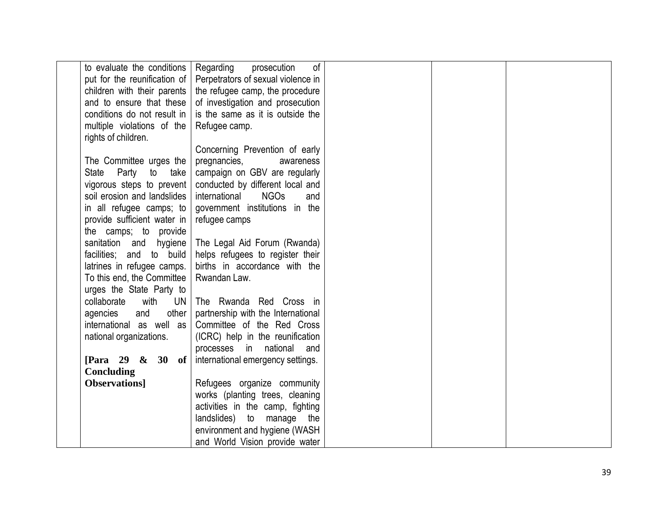| to evaluate the conditions   Regarding | of<br>prosecution                   |  |  |
|----------------------------------------|-------------------------------------|--|--|
| put for the reunification of           | Perpetrators of sexual violence in  |  |  |
| children with their parents            | the refugee camp, the procedure     |  |  |
| and to ensure that these               | of investigation and prosecution    |  |  |
| conditions do not result in            | is the same as it is outside the    |  |  |
| multiple violations of the             | Refugee camp.                       |  |  |
| rights of children.                    |                                     |  |  |
|                                        | Concerning Prevention of early      |  |  |
| The Committee urges the                | pregnancies,<br>awareness           |  |  |
| State Party to<br>take                 | campaign on GBV are regularly       |  |  |
| vigorous steps to prevent              | conducted by different local and    |  |  |
| soil erosion and landslides            | international<br><b>NGOs</b><br>and |  |  |
| in all refugee camps; to               | government institutions in the      |  |  |
| provide sufficient water in            | refugee camps                       |  |  |
| the camps; to provide                  |                                     |  |  |
| sanitation and<br>hygiene              | The Legal Aid Forum (Rwanda)        |  |  |
| facilities; and to build               | helps refugees to register their    |  |  |
| latrines in refugee camps.             | births in accordance with the       |  |  |
| To this end, the Committee             | Rwandan Law.                        |  |  |
| urges the State Party to               |                                     |  |  |
| collaborate<br>with<br>UN I            | The Rwanda Red Cross in             |  |  |
| other<br>agencies<br>and               | partnership with the International  |  |  |
| international as well as               | Committee of the Red Cross          |  |  |
| national organizations.                | (ICRC) help in the reunification    |  |  |
|                                        | processes in national<br>and        |  |  |
| [Para 29 & 30 of $\vert$               | international emergency settings.   |  |  |
| Concluding                             |                                     |  |  |
| <b>Observations</b>                    | Refugees organize community         |  |  |
|                                        | works (planting trees, cleaning     |  |  |
|                                        | activities in the camp, fighting    |  |  |
|                                        | landslides) to manage<br>the        |  |  |
|                                        | environment and hygiene (WASH       |  |  |
|                                        | and World Vision provide water      |  |  |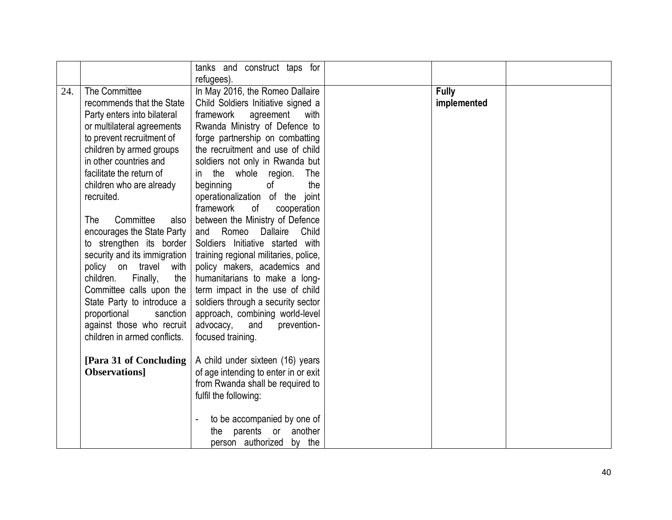|     |                                                                                                                                                                                                                                                                                                                                                                                                                                                                                                                                                                                                       | tanks and construct taps for<br>refugees).                                                                                                                                                                                                                                                                                                                                                                                                                                                                                                                                                                                                                                                                                                                              |                             |  |
|-----|-------------------------------------------------------------------------------------------------------------------------------------------------------------------------------------------------------------------------------------------------------------------------------------------------------------------------------------------------------------------------------------------------------------------------------------------------------------------------------------------------------------------------------------------------------------------------------------------------------|-------------------------------------------------------------------------------------------------------------------------------------------------------------------------------------------------------------------------------------------------------------------------------------------------------------------------------------------------------------------------------------------------------------------------------------------------------------------------------------------------------------------------------------------------------------------------------------------------------------------------------------------------------------------------------------------------------------------------------------------------------------------------|-----------------------------|--|
| 24. | The Committee<br>recommends that the State<br>Party enters into bilateral<br>or multilateral agreements<br>to prevent recruitment of<br>children by armed groups<br>in other countries and<br>facilitate the return of<br>children who are already<br>recruited.<br>Committee<br>The<br>also<br>encourages the State Party<br>to strengthen its border<br>security and its immigration<br>policy on travel<br>with<br>the<br>children.<br>Finally,<br>Committee calls upon the<br>State Party to introduce a<br>proportional<br>sanction<br>against those who recruit<br>children in armed conflicts. | In May 2016, the Romeo Dallaire<br>Child Soldiers Initiative signed a<br>framework<br>agreement<br>with<br>Rwanda Ministry of Defence to<br>forge partnership on combatting<br>the recruitment and use of child<br>soldiers not only in Rwanda but<br>in the whole region.<br>The<br>beginning<br>the<br>of<br>operationalization of the joint<br>framework<br>of<br>cooperation<br>between the Ministry of Defence<br>Romeo Dallaire<br>Child<br>and<br>Soldiers Initiative started with<br>training regional militaries, police,<br>policy makers, academics and<br>humanitarians to make a long-<br>term impact in the use of child<br>soldiers through a security sector<br>approach, combining world-level<br>advocacy,<br>and<br>prevention-<br>focused training. | <b>Fully</b><br>implemented |  |
|     | [Para 31 of Concluding]<br><b>Observations</b>                                                                                                                                                                                                                                                                                                                                                                                                                                                                                                                                                        | A child under sixteen (16) years<br>of age intending to enter in or exit<br>from Rwanda shall be required to<br>fulfil the following:<br>to be accompanied by one of<br>parents or<br>another<br>the<br>person authorized by the                                                                                                                                                                                                                                                                                                                                                                                                                                                                                                                                        |                             |  |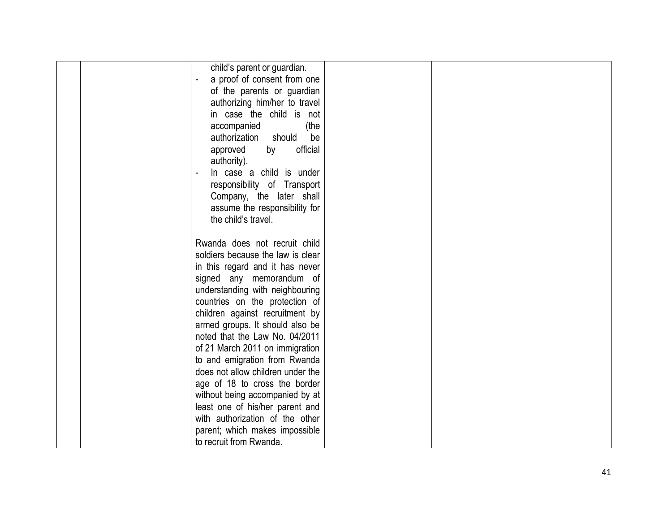| child's parent or guardian.       |  |
|-----------------------------------|--|
| a proof of consent from one       |  |
| of the parents or guardian        |  |
| authorizing him/her to travel     |  |
| in case the child is not          |  |
| accompanied<br>(the               |  |
| authorization<br>should<br>be     |  |
| official<br>approved<br>by        |  |
| authority).                       |  |
| In case a child is under          |  |
| responsibility of Transport       |  |
| Company, the later shall          |  |
| assume the responsibility for     |  |
| the child's travel.               |  |
|                                   |  |
| Rwanda does not recruit child     |  |
| soldiers because the law is clear |  |
| in this regard and it has never   |  |
| signed any memorandum of          |  |
| understanding with neighbouring   |  |
| countries on the protection of    |  |
| children against recruitment by   |  |
| armed groups. It should also be   |  |
| noted that the Law No. 04/2011    |  |
| of 21 March 2011 on immigration   |  |
| to and emigration from Rwanda     |  |
| does not allow children under the |  |
| age of 18 to cross the border     |  |
| without being accompanied by at   |  |
| least one of his/her parent and   |  |
| with authorization of the other   |  |
| parent; which makes impossible    |  |
| to recruit from Rwanda.           |  |
|                                   |  |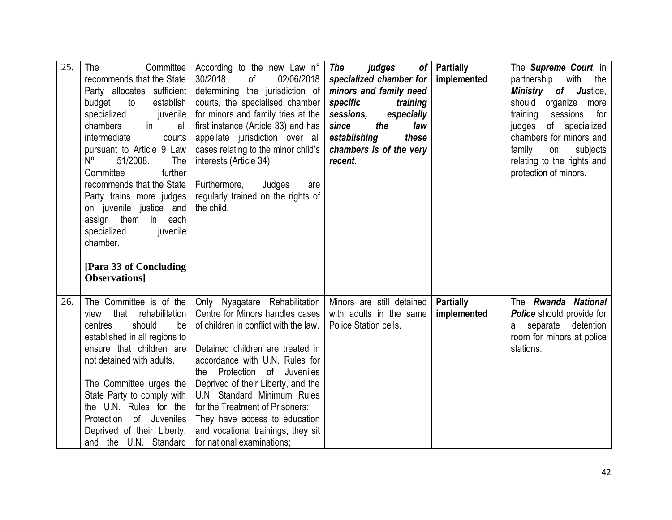| 25. | The<br>Committee<br>recommends that the State<br>Party allocates sufficient<br>budget<br>to<br>establish<br>specialized<br>juvenile<br>chambers<br>$\mathsf{in}$<br>all<br>intermediate<br>courts<br>pursuant to Article 9 Law<br>N <sup>o</sup><br>51/2008.<br>The<br>Committee<br>further<br>recommends that the State<br>Party trains more judges<br>on juvenile justice and<br>assign them in<br>each<br>specialized<br>juvenile<br>chamber.<br>[Para 33 of Concluding]<br><b>Observations</b> | According to the new Law n°<br>30/2018<br>of<br>02/06/2018<br>determining the jurisdiction of<br>courts, the specialised chamber<br>for minors and family tries at the<br>first instance (Article 33) and has<br>appellate jurisdiction over all<br>cases relating to the minor child's<br>interests (Article 34).<br>Furthermore,<br>Judges<br>are<br>regularly trained on the rights of<br>the child.                        | judges<br>The<br>specialized chamber for<br>minors and family need<br>specific<br>training<br>sessions,<br>especially<br>the<br>since<br>law<br>establishing<br>these<br>chambers is of the very<br>recent. | of   Partially<br>implemented   | The <b>Supreme Court</b> , in<br>partnership<br>with<br>the<br>Ministry of Justice,<br>should<br>organize<br>more<br>training<br>sessions for<br>of specialized<br>judges<br>chambers for minors and<br>family<br>subjects<br>on<br>relating to the rights and<br>protection of minors. |
|-----|----------------------------------------------------------------------------------------------------------------------------------------------------------------------------------------------------------------------------------------------------------------------------------------------------------------------------------------------------------------------------------------------------------------------------------------------------------------------------------------------------|--------------------------------------------------------------------------------------------------------------------------------------------------------------------------------------------------------------------------------------------------------------------------------------------------------------------------------------------------------------------------------------------------------------------------------|-------------------------------------------------------------------------------------------------------------------------------------------------------------------------------------------------------------|---------------------------------|-----------------------------------------------------------------------------------------------------------------------------------------------------------------------------------------------------------------------------------------------------------------------------------------|
| 26. | The Committee is of the<br>that rehabilitation<br>view<br>should<br>be<br>centres<br>established in all regions to<br>ensure that children are<br>not detained with adults.<br>The Committee urges the<br>State Party to comply with<br>the U.N. Rules for the<br>Protection of Juveniles<br>Deprived of their Liberty,<br>and the U.N. Standard                                                                                                                                                   | Only Nyagatare Rehabilitation<br>Centre for Minors handles cases<br>of children in conflict with the law.<br>Detained children are treated in<br>accordance with U.N. Rules for<br>the Protection<br>of Juveniles<br>Deprived of their Liberty, and the<br>U.N. Standard Minimum Rules<br>for the Treatment of Prisoners:<br>They have access to education<br>and vocational trainings, they sit<br>for national examinations: | Minors are still detained<br>with adults in the same<br>Police Station cells.                                                                                                                               | <b>Partially</b><br>implemented | The Rwanda National<br><b>Police</b> should provide for<br>separate<br>detention<br>a<br>room for minors at police<br>stations.                                                                                                                                                         |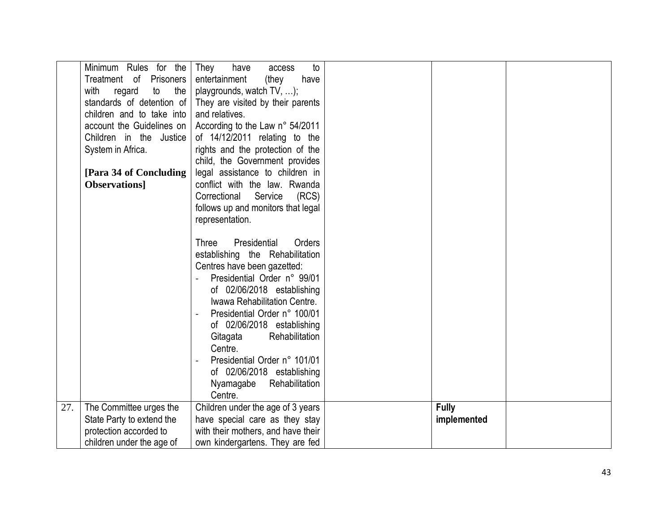|     | Minimum Rules for the       | They<br>to<br>have<br>access       |              |  |
|-----|-----------------------------|------------------------------------|--------------|--|
|     | Treatment of Prisoners      | entertainment<br>have<br>(they     |              |  |
|     | the<br>regard<br>to<br>with | playgrounds, watch TV, );          |              |  |
|     | standards of detention of   | They are visited by their parents  |              |  |
|     | children and to take into   | and relatives.                     |              |  |
|     | account the Guidelines on   | According to the Law n° 54/2011    |              |  |
|     | Children in the Justice     | of 14/12/2011 relating to the      |              |  |
|     | System in Africa.           | rights and the protection of the   |              |  |
|     |                             | child, the Government provides     |              |  |
|     | [Para 34 of Concluding      | legal assistance to children in    |              |  |
|     | <b>Observations</b>         | conflict with the law. Rwanda      |              |  |
|     |                             | Service<br>(RCS)<br>Correctional   |              |  |
|     |                             | follows up and monitors that legal |              |  |
|     |                             |                                    |              |  |
|     |                             | representation.                    |              |  |
|     |                             |                                    |              |  |
|     |                             | Orders<br>Presidential<br>Three    |              |  |
|     |                             | establishing the Rehabilitation    |              |  |
|     |                             | Centres have been gazetted:        |              |  |
|     |                             | Presidential Order n° 99/01        |              |  |
|     |                             | of 02/06/2018 establishing         |              |  |
|     |                             | Iwawa Rehabilitation Centre.       |              |  |
|     |                             | Presidential Order n° 100/01       |              |  |
|     |                             | of 02/06/2018 establishing         |              |  |
|     |                             | Rehabilitation<br>Gitagata         |              |  |
|     |                             | Centre.                            |              |  |
|     |                             | Presidential Order n° 101/01       |              |  |
|     |                             | of 02/06/2018 establishing         |              |  |
|     |                             | Nyamagabe<br>Rehabilitation        |              |  |
|     |                             | Centre.                            |              |  |
| 27. | The Committee urges the     | Children under the age of 3 years  | <b>Fully</b> |  |
|     | State Party to extend the   | have special care as they stay     | implemented  |  |
|     | protection accorded to      | with their mothers, and have their |              |  |
|     | children under the age of   | own kindergartens. They are fed    |              |  |
|     |                             |                                    |              |  |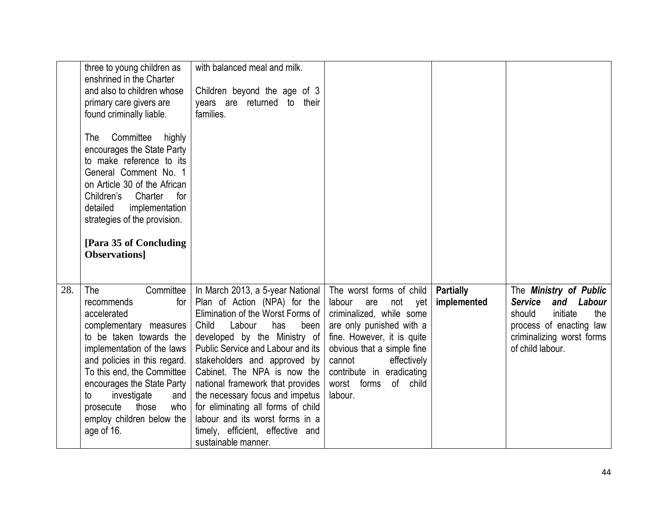|     | three to young children as                                 | with balanced meal and milk.                                          |                                                         |                  |                                              |
|-----|------------------------------------------------------------|-----------------------------------------------------------------------|---------------------------------------------------------|------------------|----------------------------------------------|
|     | enshrined in the Charter                                   |                                                                       |                                                         |                  |                                              |
|     | and also to children whose                                 | Children beyond the age of 3<br>to their                              |                                                         |                  |                                              |
|     | primary care givers are<br>found criminally liable.        | years are returned<br>families.                                       |                                                         |                  |                                              |
|     |                                                            |                                                                       |                                                         |                  |                                              |
|     | Committee<br>highly<br>The                                 |                                                                       |                                                         |                  |                                              |
|     | encourages the State Party                                 |                                                                       |                                                         |                  |                                              |
|     | to make reference to its                                   |                                                                       |                                                         |                  |                                              |
|     | General Comment No. 1                                      |                                                                       |                                                         |                  |                                              |
|     | on Article 30 of the African                               |                                                                       |                                                         |                  |                                              |
|     | Children's<br>Charter<br>for<br>implementation<br>detailed |                                                                       |                                                         |                  |                                              |
|     | strategies of the provision.                               |                                                                       |                                                         |                  |                                              |
|     |                                                            |                                                                       |                                                         |                  |                                              |
|     | [Para 35 of Concluding]                                    |                                                                       |                                                         |                  |                                              |
|     | <b>Observations</b>                                        |                                                                       |                                                         |                  |                                              |
|     |                                                            |                                                                       |                                                         |                  |                                              |
|     |                                                            |                                                                       |                                                         |                  |                                              |
| 28. | The<br>Committee<br>recommends                             | In March 2013, a 5-year National                                      | The worst forms of child                                | <b>Partially</b> | The Ministry of Public<br>Service and Labour |
|     | for<br>accelerated                                         | Plan of Action (NPA) for the<br>Elimination of the Worst Forms of     | labour<br>not<br>vet<br>are<br>criminalized, while some | implemented      | initiate<br>the<br>should                    |
|     | complementary measures                                     | Child<br>Labour<br>has<br>been                                        | are only punished with a                                |                  | process of enacting law                      |
|     | to be taken towards the                                    | developed by the Ministry of                                          | fine. However, it is quite                              |                  | criminalizing worst forms                    |
|     | implementation of the laws                                 | Public Service and Labour and its                                     | obvious that a simple fine                              |                  | of child labour.                             |
|     | and policies in this regard.                               | stakeholders and approved by                                          | effectively<br>cannot                                   |                  |                                              |
|     | To this end, the Committee                                 | Cabinet. The NPA is now the                                           | contribute in eradicating                               |                  |                                              |
|     | encourages the State Party                                 | national framework that provides                                      | worst forms<br>of child                                 |                  |                                              |
|     | investigate<br>and<br>to<br>those<br>who<br>prosecute      | the necessary focus and impetus<br>for eliminating all forms of child | labour.                                                 |                  |                                              |
|     | employ children below the                                  | labour and its worst forms in a                                       |                                                         |                  |                                              |
|     | age of 16.                                                 | timely, efficient, effective and                                      |                                                         |                  |                                              |
|     |                                                            | sustainable manner.                                                   |                                                         |                  |                                              |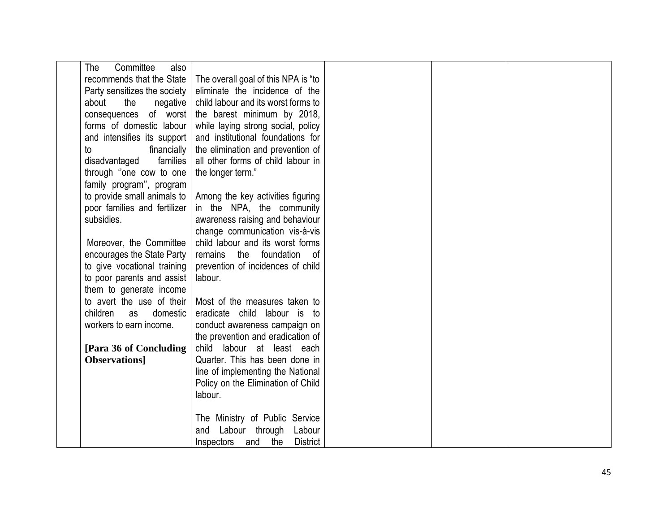| Committee<br>The<br>also     |                                          |  |  |
|------------------------------|------------------------------------------|--|--|
| recommends that the State    | The overall goal of this NPA is "to      |  |  |
| Party sensitizes the society | eliminate the incidence of the           |  |  |
| about<br>the<br>negative     | child labour and its worst forms to      |  |  |
| consequences of worst        | the barest minimum by 2018,              |  |  |
| forms of domestic labour     | while laying strong social, policy       |  |  |
| and intensifies its support  | and institutional foundations for        |  |  |
| financially<br>to            | the elimination and prevention of        |  |  |
| disadvantaged<br>families    | all other forms of child labour in       |  |  |
| through "one cow to one      | the longer term."                        |  |  |
| family program", program     |                                          |  |  |
| to provide small animals to  | Among the key activities figuring        |  |  |
| poor families and fertilizer | in the NPA, the community                |  |  |
| subsidies.                   | awareness raising and behaviour          |  |  |
|                              | change communication vis-à-vis           |  |  |
| Moreover, the Committee      | child labour and its worst forms         |  |  |
| encourages the State Party   | remains the foundation of                |  |  |
| to give vocational training  | prevention of incidences of child        |  |  |
| to poor parents and assist   | labour.                                  |  |  |
| them to generate income      |                                          |  |  |
| to avert the use of their    | Most of the measures taken to            |  |  |
| children<br>domestic<br>as   | eradicate child labour is to             |  |  |
| workers to earn income.      | conduct awareness campaign on            |  |  |
|                              | the prevention and eradication of        |  |  |
| [Para 36 of Concluding]      | child labour at least each               |  |  |
| <b>Observations</b>          | Quarter. This has been done in           |  |  |
|                              | line of implementing the National        |  |  |
|                              | Policy on the Elimination of Child       |  |  |
|                              | labour.                                  |  |  |
|                              |                                          |  |  |
|                              | The Ministry of Public Service           |  |  |
|                              | Labour through<br>Labour<br>and          |  |  |
|                              | the<br><b>District</b><br>Inspectors and |  |  |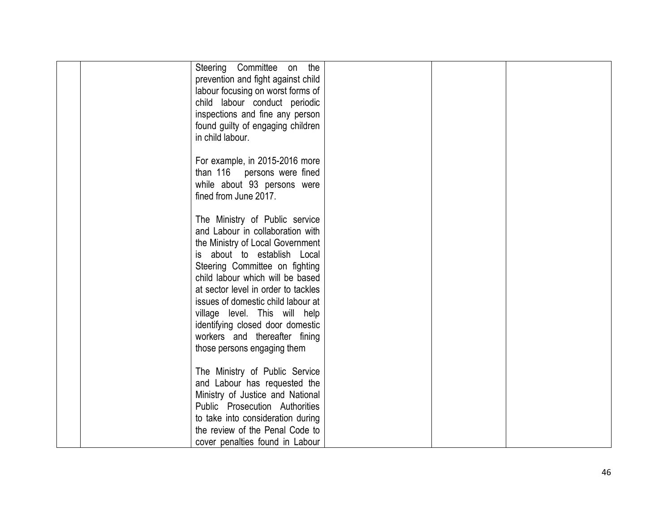| Steering Committee on the           |  |
|-------------------------------------|--|
| prevention and fight against child  |  |
| labour focusing on worst forms of   |  |
| child labour conduct periodic       |  |
| inspections and fine any person     |  |
| found guilty of engaging children   |  |
| in child labour.                    |  |
|                                     |  |
| For example, in 2015-2016 more      |  |
| than 116 persons were fined         |  |
| while about 93 persons were         |  |
| fined from June 2017.               |  |
|                                     |  |
| The Ministry of Public service      |  |
| and Labour in collaboration with    |  |
| the Ministry of Local Government    |  |
| about to establish Local<br>IS -    |  |
| Steering Committee on fighting      |  |
| child labour which will be based    |  |
| at sector level in order to tackles |  |
| issues of domestic child labour at  |  |
| village level. This will help       |  |
| identifying closed door domestic    |  |
| workers and thereafter fining       |  |
| those persons engaging them         |  |
|                                     |  |
| The Ministry of Public Service      |  |
| and Labour has requested the        |  |
| Ministry of Justice and National    |  |
| Public Prosecution Authorities      |  |
| to take into consideration during   |  |
| the review of the Penal Code to     |  |
| cover penalties found in Labour     |  |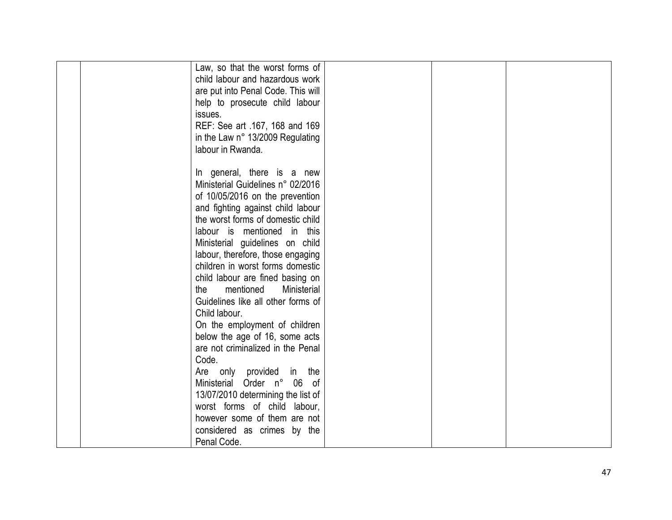|  | Law, so that the worst forms of<br>child labour and hazardous work |  |  |
|--|--------------------------------------------------------------------|--|--|
|  | are put into Penal Code. This will                                 |  |  |
|  | help to prosecute child labour                                     |  |  |
|  | issues.                                                            |  |  |
|  | REF: See art .167, 168 and 169                                     |  |  |
|  | in the Law n° 13/2009 Regulating                                   |  |  |
|  | labour in Rwanda.                                                  |  |  |
|  |                                                                    |  |  |
|  | In general, there is a new                                         |  |  |
|  | Ministerial Guidelines n° 02/2016                                  |  |  |
|  | of 10/05/2016 on the prevention                                    |  |  |
|  | and fighting against child labour                                  |  |  |
|  | the worst forms of domestic child                                  |  |  |
|  | labour is mentioned in this                                        |  |  |
|  | Ministerial guidelines on child                                    |  |  |
|  | labour, therefore, those engaging                                  |  |  |
|  | children in worst forms domestic                                   |  |  |
|  | child labour are fined basing on                                   |  |  |
|  | the<br>mentioned<br>Ministerial                                    |  |  |
|  | Guidelines like all other forms of                                 |  |  |
|  | Child labour.                                                      |  |  |
|  | On the employment of children                                      |  |  |
|  | below the age of 16, some acts                                     |  |  |
|  | are not criminalized in the Penal                                  |  |  |
|  | Code.                                                              |  |  |
|  | Are only provided in the                                           |  |  |
|  | Ministerial Order n° 06 of                                         |  |  |
|  | 13/07/2010 determining the list of                                 |  |  |
|  | worst forms of child labour,                                       |  |  |
|  | however some of them are not                                       |  |  |
|  | considered as crimes by the                                        |  |  |
|  | Penal Code.                                                        |  |  |
|  |                                                                    |  |  |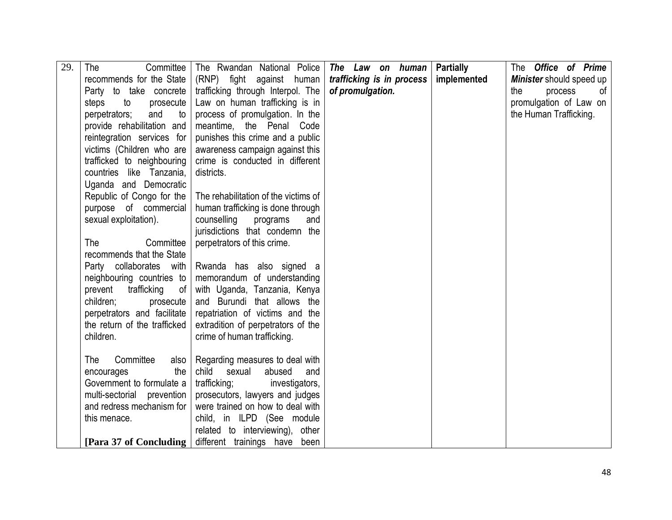| 29. | The<br>Committee                                        | The Rwandan National Police                                         | The Law on human          | <b>Partially</b> | The <b>Office</b> of <b>Prime</b> |
|-----|---------------------------------------------------------|---------------------------------------------------------------------|---------------------------|------------------|-----------------------------------|
|     | recommends for the State                                | (RNP) fight against human                                           | trafficking is in process | implemented      | Minister should speed up          |
|     | Party to take concrete                                  | trafficking through Interpol. The                                   | of promulgation.          |                  | the<br>of<br>process              |
|     | prosecute<br>steps<br>to                                | Law on human trafficking is in                                      |                           |                  | promulgation of Law on            |
|     | perpetrators;<br>and<br>to                              | process of promulgation. In the                                     |                           |                  | the Human Trafficking.            |
|     | provide rehabilitation and                              | meantime, the Penal Code                                            |                           |                  |                                   |
|     | reintegration services for                              | punishes this crime and a public                                    |                           |                  |                                   |
|     | victims (Children who are                               | awareness campaign against this                                     |                           |                  |                                   |
|     | trafficked to neighbouring                              | crime is conducted in different                                     |                           |                  |                                   |
|     | countries like Tanzania,                                | districts.                                                          |                           |                  |                                   |
|     | Uganda and Democratic                                   |                                                                     |                           |                  |                                   |
|     | Republic of Congo for the                               | The rehabilitation of the victims of                                |                           |                  |                                   |
|     | purpose of commercial                                   | human trafficking is done through                                   |                           |                  |                                   |
|     | sexual exploitation).                                   | counselling<br>programs<br>and                                      |                           |                  |                                   |
|     |                                                         | jurisdictions that condemn the                                      |                           |                  |                                   |
|     | The<br>Committee                                        | perpetrators of this crime.                                         |                           |                  |                                   |
|     | recommends that the State                               |                                                                     |                           |                  |                                   |
|     | Party collaborates with                                 | Rwanda has also signed a                                            |                           |                  |                                   |
|     | neighbouring countries to                               | memorandum of understanding                                         |                           |                  |                                   |
|     | prevent<br>trafficking<br>0f                            | with Uganda, Tanzania, Kenya                                        |                           |                  |                                   |
|     | children;<br>prosecute                                  | and Burundi that allows the                                         |                           |                  |                                   |
|     | perpetrators and facilitate                             | repatriation of victims and the                                     |                           |                  |                                   |
|     | the return of the trafficked                            | extradition of perpetrators of the                                  |                           |                  |                                   |
|     | children.                                               | crime of human trafficking.                                         |                           |                  |                                   |
|     |                                                         |                                                                     |                           |                  |                                   |
|     | Committee<br>The<br>also                                | Regarding measures to deal with                                     |                           |                  |                                   |
|     | the<br>encourages                                       | child<br>sexual<br>abused<br>and                                    |                           |                  |                                   |
|     | Government to formulate a                               | trafficking;<br>investigators,                                      |                           |                  |                                   |
|     | multi-sectorial prevention<br>and redress mechanism for | prosecutors, lawyers and judges<br>were trained on how to deal with |                           |                  |                                   |
|     | this menace.                                            | child, in ILPD (See module                                          |                           |                  |                                   |
|     |                                                         | related to interviewing), other                                     |                           |                  |                                   |
|     | [Para 37 of Concluding]                                 | different trainings have been                                       |                           |                  |                                   |
|     |                                                         |                                                                     |                           |                  |                                   |